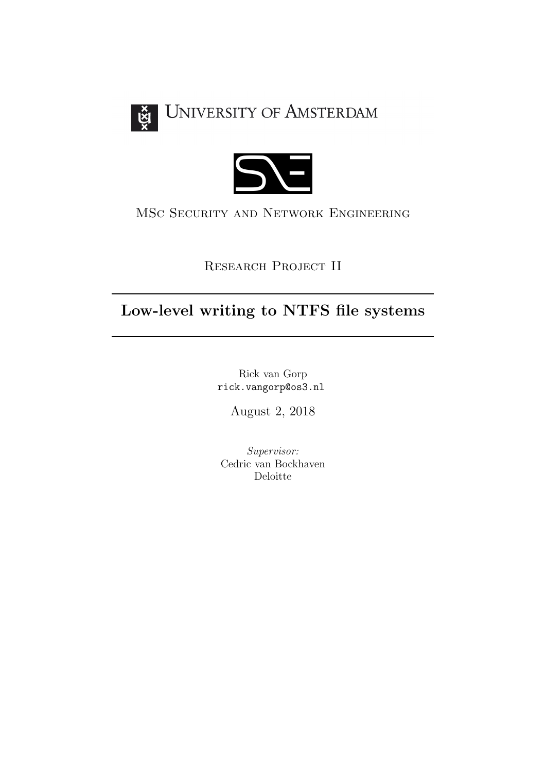



## MSc Security and Network Engineering

Research Project II

# Low-level writing to NTFS file systems

Rick van Gorp rick.vangorp@os3.nl

August 2, 2018

Supervisor: Cedric van Bockhaven Deloitte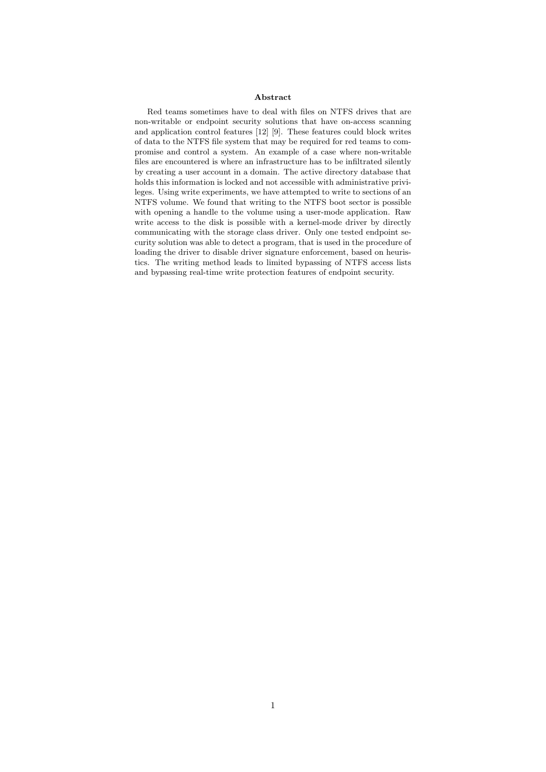#### Abstract

Red teams sometimes have to deal with files on NTFS drives that are non-writable or endpoint security solutions that have on-access scanning and application control features [\[12\]](#page-25-0) [\[9\]](#page-25-1). These features could block writes of data to the NTFS file system that may be required for red teams to compromise and control a system. An example of a case where non-writable files are encountered is where an infrastructure has to be infiltrated silently by creating a user account in a domain. The active directory database that holds this information is locked and not accessible with administrative privileges. Using write experiments, we have attempted to write to sections of an NTFS volume. We found that writing to the NTFS boot sector is possible with opening a handle to the volume using a user-mode application. Raw write access to the disk is possible with a kernel-mode driver by directly communicating with the storage class driver. Only one tested endpoint security solution was able to detect a program, that is used in the procedure of loading the driver to disable driver signature enforcement, based on heuristics. The writing method leads to limited bypassing of NTFS access lists and bypassing real-time write protection features of endpoint security.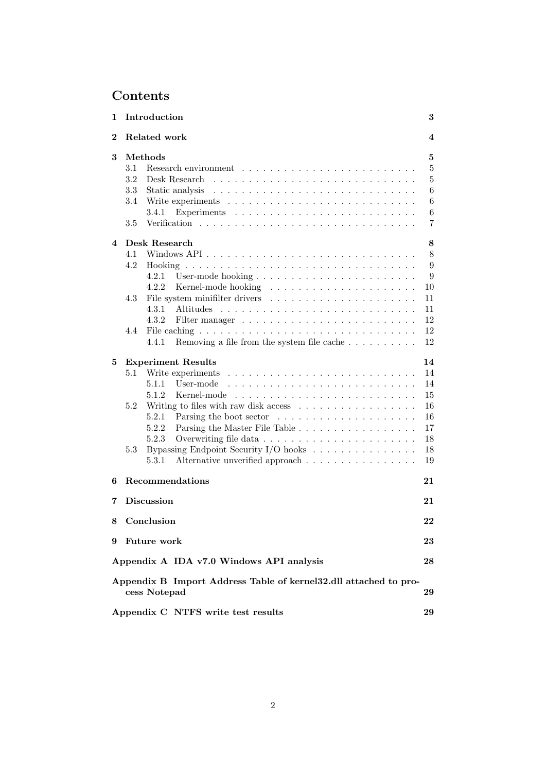# Contents

| 1                                                                                      | Introduction                                                                                                                                                                                                                                                      | 3                       |  |  |  |  |
|----------------------------------------------------------------------------------------|-------------------------------------------------------------------------------------------------------------------------------------------------------------------------------------------------------------------------------------------------------------------|-------------------------|--|--|--|--|
| $\bf{2}$                                                                               | Related work                                                                                                                                                                                                                                                      | $\overline{\mathbf{4}}$ |  |  |  |  |
| 3                                                                                      | Methods<br>5                                                                                                                                                                                                                                                      |                         |  |  |  |  |
|                                                                                        | 3.1                                                                                                                                                                                                                                                               | $\overline{5}$          |  |  |  |  |
|                                                                                        | 3.2                                                                                                                                                                                                                                                               | $\bf 5$                 |  |  |  |  |
|                                                                                        | 3.3                                                                                                                                                                                                                                                               | $\,6$                   |  |  |  |  |
|                                                                                        | 3.4                                                                                                                                                                                                                                                               | 6                       |  |  |  |  |
|                                                                                        | 3.4.1                                                                                                                                                                                                                                                             | 6                       |  |  |  |  |
|                                                                                        | 3.5                                                                                                                                                                                                                                                               | 7                       |  |  |  |  |
| 4                                                                                      | Desk Research                                                                                                                                                                                                                                                     | 8                       |  |  |  |  |
|                                                                                        | 4.1                                                                                                                                                                                                                                                               | 8                       |  |  |  |  |
|                                                                                        | 4.2                                                                                                                                                                                                                                                               | 9                       |  |  |  |  |
|                                                                                        | 4.2.1                                                                                                                                                                                                                                                             | 9                       |  |  |  |  |
|                                                                                        | 4.2.2                                                                                                                                                                                                                                                             | 10                      |  |  |  |  |
|                                                                                        | 4.3                                                                                                                                                                                                                                                               | 11                      |  |  |  |  |
|                                                                                        | 4.3.1                                                                                                                                                                                                                                                             | 11                      |  |  |  |  |
|                                                                                        | 4.3.2                                                                                                                                                                                                                                                             | 12                      |  |  |  |  |
|                                                                                        |                                                                                                                                                                                                                                                                   | 12                      |  |  |  |  |
|                                                                                        | 4.4                                                                                                                                                                                                                                                               |                         |  |  |  |  |
|                                                                                        | Removing a file from the system file cache $\dots \dots \dots$<br>4.4.1                                                                                                                                                                                           | 12                      |  |  |  |  |
| 5                                                                                      | <b>Experiment Results</b>                                                                                                                                                                                                                                         | 14                      |  |  |  |  |
|                                                                                        | $5.1\,$<br>Write experiments                                                                                                                                                                                                                                      | 14                      |  |  |  |  |
|                                                                                        | User-mode<br>5.1.1                                                                                                                                                                                                                                                | 14                      |  |  |  |  |
|                                                                                        | 5.1.2<br>Kernel-mode                                                                                                                                                                                                                                              | 15                      |  |  |  |  |
|                                                                                        | Writing to files with raw disk access<br>5.2                                                                                                                                                                                                                      | 16                      |  |  |  |  |
|                                                                                        | 5.2.1<br>Parsing the boot sector<br>. The contract of the contract of the contract of the contract of the contract of the contract of the contract of the contract of the contract of the contract of the contract of the contract of the contract of the contrac | 16                      |  |  |  |  |
|                                                                                        | 5.2.2<br>Parsing the Master File Table                                                                                                                                                                                                                            | 17                      |  |  |  |  |
|                                                                                        | 5.2.3                                                                                                                                                                                                                                                             | 18                      |  |  |  |  |
|                                                                                        | Bypassing Endpoint Security I/O hooks $\ldots \ldots \ldots \ldots \ldots$<br>5.3                                                                                                                                                                                 | 18                      |  |  |  |  |
|                                                                                        | 5.3.1<br>Alternative unverified approach                                                                                                                                                                                                                          | 19                      |  |  |  |  |
| 6                                                                                      | <b>Recommendations</b><br>21                                                                                                                                                                                                                                      |                         |  |  |  |  |
| 7                                                                                      | <b>Discussion</b><br>21                                                                                                                                                                                                                                           |                         |  |  |  |  |
| 8                                                                                      | Conclusion<br>22                                                                                                                                                                                                                                                  |                         |  |  |  |  |
|                                                                                        |                                                                                                                                                                                                                                                                   |                         |  |  |  |  |
|                                                                                        | 9 Future work<br>23                                                                                                                                                                                                                                               |                         |  |  |  |  |
|                                                                                        | Appendix A IDA v7.0 Windows API analysis                                                                                                                                                                                                                          | 28                      |  |  |  |  |
| Appendix B Import Address Table of kernel32.dll attached to pro-<br>cess Notepad<br>29 |                                                                                                                                                                                                                                                                   |                         |  |  |  |  |
|                                                                                        | Appendix C NTFS write test results<br>29                                                                                                                                                                                                                          |                         |  |  |  |  |
|                                                                                        |                                                                                                                                                                                                                                                                   |                         |  |  |  |  |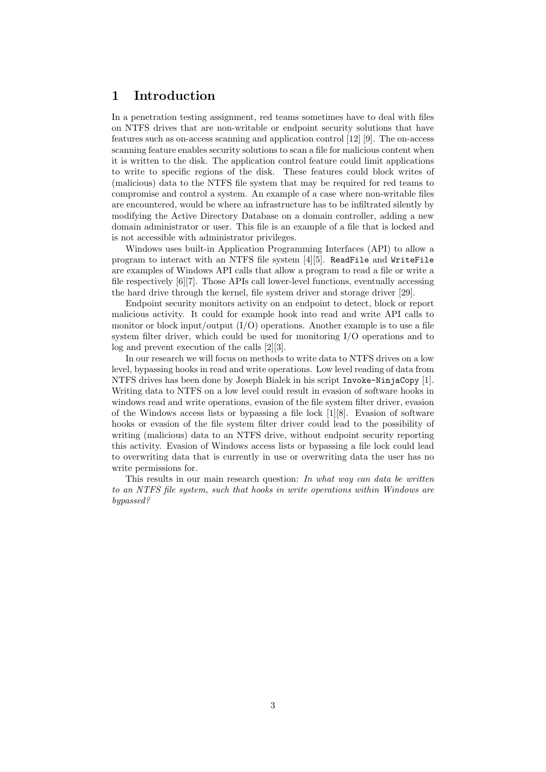### <span id="page-3-0"></span>1 Introduction

In a penetration testing assignment, red teams sometimes have to deal with files on NTFS drives that are non-writable or endpoint security solutions that have features such as on-access scanning and application control [\[12\]](#page-25-0) [\[9\]](#page-25-1). The on-access scanning feature enables security solutions to scan a file for malicious content when it is written to the disk. The application control feature could limit applications to write to specific regions of the disk. These features could block writes of (malicious) data to the NTFS file system that may be required for red teams to compromise and control a system. An example of a case where non-writable files are encountered, would be where an infrastructure has to be infiltrated silently by modifying the Active Directory Database on a domain controller, adding a new domain administrator or user. This file is an example of a file that is locked and is not accessible with administrator privileges.

Windows uses built-in Application Programming Interfaces (API) to allow a program to interact with an NTFS file system [\[4\]](#page-25-2)[\[5\]](#page-25-3). ReadFile and WriteFile are examples of Windows API calls that allow a program to read a file or write a file respectively [\[6\]](#page-25-4)[\[7\]](#page-25-5). Those APIs call lower-level functions, eventually accessing the hard drive through the kernel, file system driver and storage driver [\[29\]](#page-27-0).

Endpoint security monitors activity on an endpoint to detect, block or report malicious activity. It could for example hook into read and write API calls to monitor or block input/output  $(I/O)$  operations. Another example is to use a file system filter driver, which could be used for monitoring I/O operations and to log and prevent execution of the calls [\[2\]](#page-25-6)[\[3\]](#page-25-7).

In our research we will focus on methods to write data to NTFS drives on a low level, bypassing hooks in read and write operations. Low level reading of data from NTFS drives has been done by Joseph Bialek in his script Invoke-NinjaCopy [\[1\]](#page-25-8). Writing data to NTFS on a low level could result in evasion of software hooks in windows read and write operations, evasion of the file system filter driver, evasion of the Windows access lists or bypassing a file lock [\[1\]](#page-25-8)[\[8\]](#page-25-9). Evasion of software hooks or evasion of the file system filter driver could lead to the possibility of writing (malicious) data to an NTFS drive, without endpoint security reporting this activity. Evasion of Windows access lists or bypassing a file lock could lead to overwriting data that is currently in use or overwriting data the user has no write permissions for.

This results in our main research question: In what way can data be written to an NTFS file system, such that hooks in write operations within Windows are bypassed?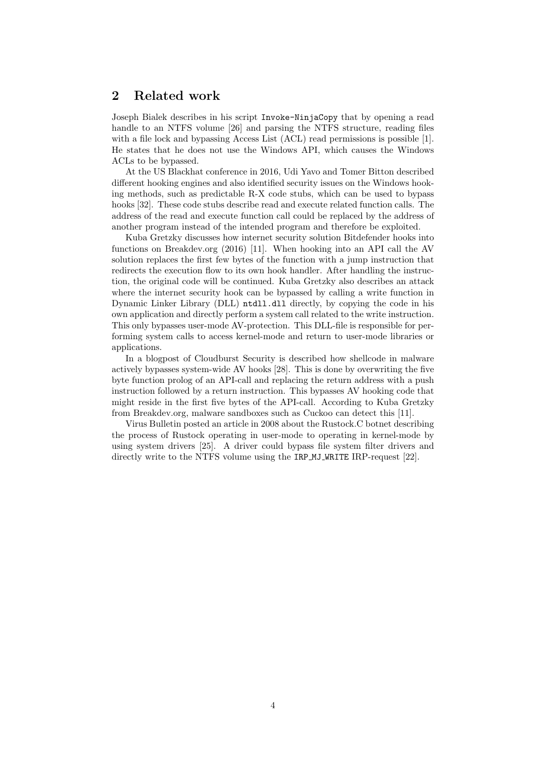### <span id="page-4-0"></span>2 Related work

Joseph Bialek describes in his script Invoke-NinjaCopy that by opening a read handle to an NTFS volume [\[26\]](#page-26-0) and parsing the NTFS structure, reading files with a file lock and bypassing Access List (ACL) read permissions is possible [\[1\]](#page-25-8). He states that he does not use the Windows API, which causes the Windows ACLs to be bypassed.

At the US Blackhat conference in 2016, Udi Yavo and Tomer Bitton described different hooking engines and also identified security issues on the Windows hooking methods, such as predictable R-X code stubs, which can be used to bypass hooks [\[32\]](#page-27-1). These code stubs describe read and execute related function calls. The address of the read and execute function call could be replaced by the address of another program instead of the intended program and therefore be exploited.

Kuba Gretzky discusses how internet security solution Bitdefender hooks into functions on Breakdev.org (2016) [\[11\]](#page-25-10). When hooking into an API call the AV solution replaces the first few bytes of the function with a jump instruction that redirects the execution flow to its own hook handler. After handling the instruction, the original code will be continued. Kuba Gretzky also describes an attack where the internet security hook can be bypassed by calling a write function in Dynamic Linker Library (DLL) ntdll.dll directly, by copying the code in his own application and directly perform a system call related to the write instruction. This only bypasses user-mode AV-protection. This DLL-file is responsible for performing system calls to access kernel-mode and return to user-mode libraries or applications.

In a blogpost of Cloudburst Security is described how shellcode in malware actively bypasses system-wide AV hooks [\[28\]](#page-26-1). This is done by overwriting the five byte function prolog of an API-call and replacing the return address with a push instruction followed by a return instruction. This bypasses AV hooking code that might reside in the first five bytes of the API-call. According to Kuba Gretzky from Breakdev.org, malware sandboxes such as Cuckoo can detect this [\[11\]](#page-25-10).

Virus Bulletin posted an article in 2008 about the Rustock.C botnet describing the process of Rustock operating in user-mode to operating in kernel-mode by using system drivers [\[25\]](#page-26-2). A driver could bypass file system filter drivers and directly write to the NTFS volume using the IRP\_MJ\_WRITE IRP-request [\[22\]](#page-26-3).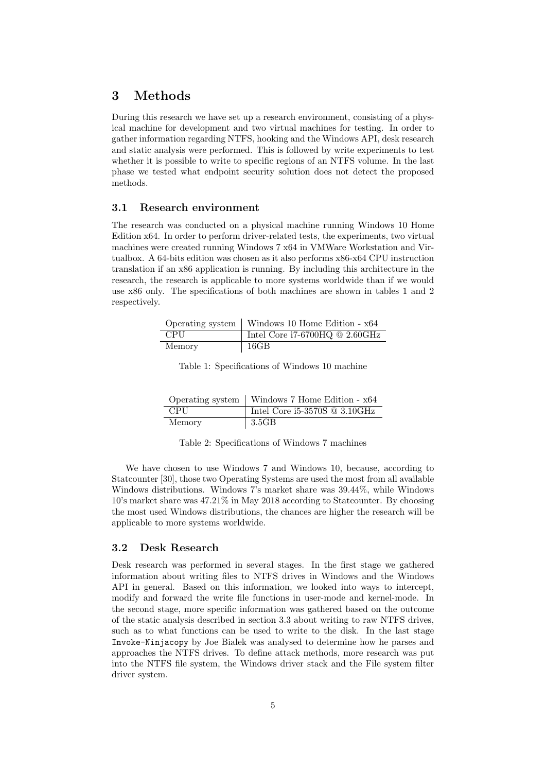### <span id="page-5-0"></span>3 Methods

During this research we have set up a research environment, consisting of a physical machine for development and two virtual machines for testing. In order to gather information regarding NTFS, hooking and the Windows API, desk research and static analysis were performed. This is followed by write experiments to test whether it is possible to write to specific regions of an NTFS volume. In the last phase we tested what endpoint security solution does not detect the proposed methods.

#### <span id="page-5-1"></span>3.1 Research environment

The research was conducted on a physical machine running Windows 10 Home Edition x64. In order to perform driver-related tests, the experiments, two virtual machines were created running Windows 7 x64 in VMWare Workstation and Virtualbox. A 64-bits edition was chosen as it also performs x86-x64 CPU instruction translation if an x86 application is running. By including this architecture in the research, the research is applicable to more systems worldwide than if we would use x86 only. The specifications of both machines are shown in tables [1](#page-5-3) and [2](#page-5-4) respectively.

<span id="page-5-3"></span>

|        | Operating system   Windows 10 Home Edition - x64 |
|--------|--------------------------------------------------|
| CPU    | Intel Core i7-6700HQ $@$ 2.60GHz                 |
| Memory | 16GB                                             |

Table 1: Specifications of Windows 10 machine

<span id="page-5-4"></span>

|        | Operating system   Windows 7 Home Edition - x64 |
|--------|-------------------------------------------------|
| CPU    | Intel Core $i5-3570S \t@ 3.10GHz$               |
| Memory | 3.5GB                                           |

Table 2: Specifications of Windows 7 machines

We have chosen to use Windows 7 and Windows 10, because, according to Statcounter [\[30\]](#page-27-2), those two Operating Systems are used the most from all available Windows distributions. Windows 7's market share was 39.44%, while Windows 10's market share was 47.21% in May 2018 according to Statcounter. By choosing the most used Windows distributions, the chances are higher the research will be applicable to more systems worldwide.

#### <span id="page-5-2"></span>3.2 Desk Research

Desk research was performed in several stages. In the first stage we gathered information about writing files to NTFS drives in Windows and the Windows API in general. Based on this information, we looked into ways to intercept, modify and forward the write file functions in user-mode and kernel-mode. In the second stage, more specific information was gathered based on the outcome of the static analysis described in section [3.3](#page-6-0) about writing to raw NTFS drives, such as to what functions can be used to write to the disk. In the last stage Invoke-Ninjacopy by Joe Bialek was analysed to determine how he parses and approaches the NTFS drives. To define attack methods, more research was put into the NTFS file system, the Windows driver stack and the File system filter driver system.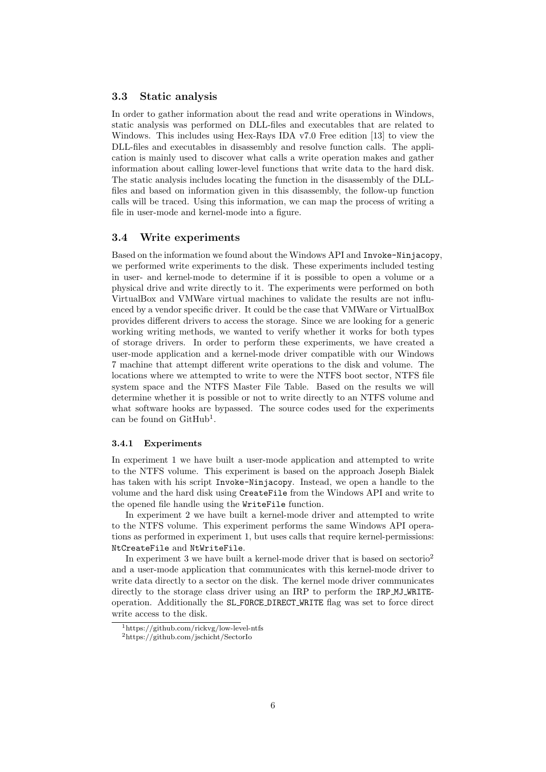#### <span id="page-6-0"></span>3.3 Static analysis

In order to gather information about the read and write operations in Windows, static analysis was performed on DLL-files and executables that are related to Windows. This includes using Hex-Rays IDA v7.0 Free edition [\[13\]](#page-25-11) to view the DLL-files and executables in disassembly and resolve function calls. The application is mainly used to discover what calls a write operation makes and gather information about calling lower-level functions that write data to the hard disk. The static analysis includes locating the function in the disassembly of the DLLfiles and based on information given in this disassembly, the follow-up function calls will be traced. Using this information, we can map the process of writing a file in user-mode and kernel-mode into a figure.

#### <span id="page-6-1"></span>3.4 Write experiments

Based on the information we found about the Windows API and Invoke-Ninjacopy, we performed write experiments to the disk. These experiments included testing in user- and kernel-mode to determine if it is possible to open a volume or a physical drive and write directly to it. The experiments were performed on both VirtualBox and VMWare virtual machines to validate the results are not influenced by a vendor specific driver. It could be the case that VMWare or VirtualBox provides different drivers to access the storage. Since we are looking for a generic working writing methods, we wanted to verify whether it works for both types of storage drivers. In order to perform these experiments, we have created a user-mode application and a kernel-mode driver compatible with our Windows 7 machine that attempt different write operations to the disk and volume. The locations where we attempted to write to were the NTFS boot sector, NTFS file system space and the NTFS Master File Table. Based on the results we will determine whether it is possible or not to write directly to an NTFS volume and what software hooks are bypassed. The source codes used for the experiments can be found on GitHub<sup>[1](#page-6-3)</sup>.

#### <span id="page-6-2"></span>3.4.1 Experiments

In experiment 1 we have built a user-mode application and attempted to write to the NTFS volume. This experiment is based on the approach Joseph Bialek has taken with his script Invoke-Ninjacopy. Instead, we open a handle to the volume and the hard disk using CreateFile from the Windows API and write to the opened file handle using the WriteFile function.

In experiment 2 we have built a kernel-mode driver and attempted to write to the NTFS volume. This experiment performs the same Windows API operations as performed in experiment 1, but uses calls that require kernel-permissions: NtCreateFile and NtWriteFile.

In experiment 3 we have built a kernel-mode driver that is based on sectorio<sup>[2](#page-6-4)</sup> and a user-mode application that communicates with this kernel-mode driver to write data directly to a sector on the disk. The kernel mode driver communicates directly to the storage class driver using an IRP to perform the IRP MJ WRITEoperation. Additionally the SL FORCE DIRECT WRITE flag was set to force direct write access to the disk.

<span id="page-6-3"></span><sup>1</sup>https://github.com/rickvg/low-level-ntfs

<span id="page-6-4"></span><sup>2</sup>https://github.com/jschicht/SectorIo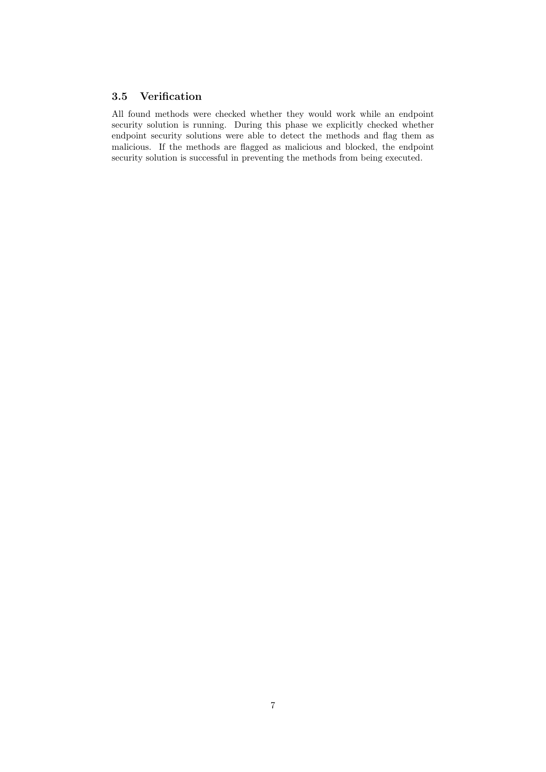### <span id="page-7-0"></span>3.5 Verification

All found methods were checked whether they would work while an endpoint security solution is running. During this phase we explicitly checked whether endpoint security solutions were able to detect the methods and flag them as malicious. If the methods are flagged as malicious and blocked, the endpoint security solution is successful in preventing the methods from being executed.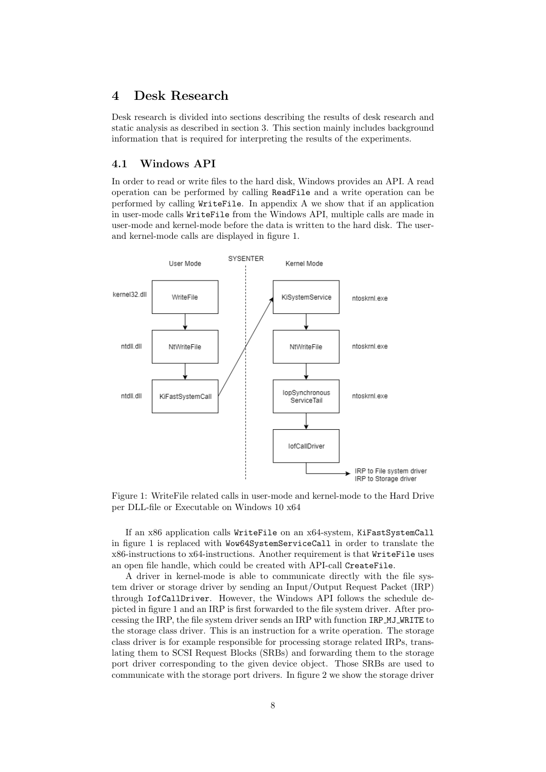### <span id="page-8-0"></span>4 Desk Research

Desk research is divided into sections describing the results of desk research and static analysis as described in section [3.](#page-5-0) This section mainly includes background information that is required for interpreting the results of the experiments.

#### <span id="page-8-1"></span>4.1 Windows API

In order to read or write files to the hard disk, Windows provides an API. A read operation can be performed by calling ReadFile and a write operation can be performed by calling WriteFile. In appendix [A](#page-28-0) we show that if an application in user-mode calls WriteFile from the Windows API, multiple calls are made in user-mode and kernel-mode before the data is written to the hard disk. The userand kernel-mode calls are displayed in figure [1.](#page-8-2)

<span id="page-8-2"></span>

Figure 1: WriteFile related calls in user-mode and kernel-mode to the Hard Drive per DLL-file or Executable on Windows 10 x64

If an x86 application calls WriteFile on an x64-system, KiFastSystemCall in figure [1](#page-8-2) is replaced with Wow64SystemServiceCall in order to translate the x86-instructions to x64-instructions. Another requirement is that WriteFile uses an open file handle, which could be created with API-call CreateFile.

A driver in kernel-mode is able to communicate directly with the file system driver or storage driver by sending an Input/Output Request Packet (IRP) through IofCallDriver. However, the Windows API follows the schedule depicted in figure [1](#page-8-2) and an IRP is first forwarded to the file system driver. After processing the IRP, the file system driver sends an IRP with function IRP MJ WRITE to the storage class driver. This is an instruction for a write operation. The storage class driver is for example responsible for processing storage related IRPs, translating them to SCSI Request Blocks (SRBs) and forwarding them to the storage port driver corresponding to the given device object. Those SRBs are used to communicate with the storage port drivers. In figure [2](#page-9-2) we show the storage driver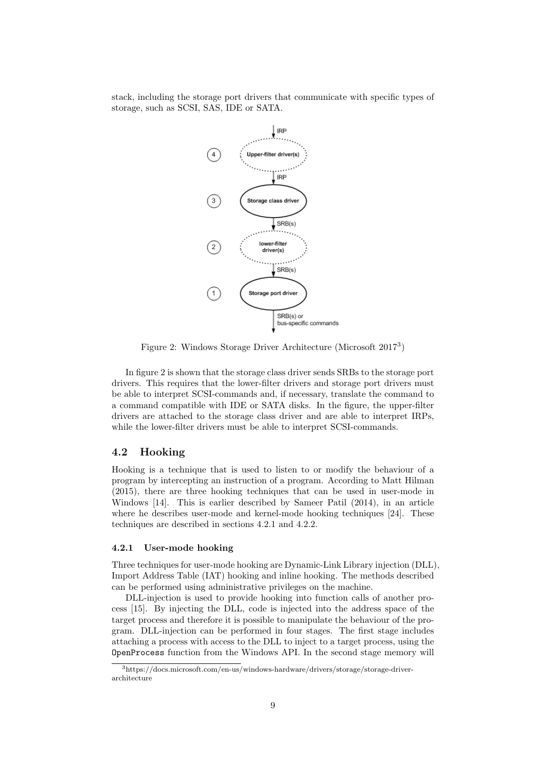<span id="page-9-2"></span>stack, including the storage port drivers that communicate with specific types of storage, such as SCSI, SAS, IDE or SATA.



Figure 2: Windows Storage Driver Architecture (Microsoft 2017[3](#page-9-3) )

In figure [2](#page-9-2) is shown that the storage class driver sends SRBs to the storage port drivers. This requires that the lower-filter drivers and storage port drivers must be able to interpret SCSI-commands and, if necessary, translate the command to a command compatible with IDE or SATA disks. In the figure, the upper-filter drivers are attached to the storage class driver and are able to interpret IRPs, while the lower-filter drivers must be able to interpret SCSI-commands.

#### <span id="page-9-0"></span>4.2 Hooking

Hooking is a technique that is used to listen to or modify the behaviour of a program by intercepting an instruction of a program. According to Matt Hilman (2015), there are three hooking techniques that can be used in user-mode in Windows [\[14\]](#page-25-12). This is earlier described by Sameer Patil (2014), in an article where he describes user-mode and kernel-mode hooking techniques [\[24\]](#page-26-4). These techniques are described in sections [4.2.1](#page-9-1) and [4.2.2.](#page-10-0)

#### <span id="page-9-1"></span>4.2.1 User-mode hooking

Three techniques for user-mode hooking are Dynamic-Link Library injection (DLL), Import Address Table (IAT) hooking and inline hooking. The methods described can be performed using administrative privileges on the machine.

DLL-injection is used to provide hooking into function calls of another process [\[15\]](#page-26-5). By injecting the DLL, code is injected into the address space of the target process and therefore it is possible to manipulate the behaviour of the program. DLL-injection can be performed in four stages. The first stage includes attaching a process with access to the DLL to inject to a target process, using the OpenProcess function from the Windows API. In the second stage memory will

<span id="page-9-3"></span><sup>3</sup>https://docs.microsoft.com/en-us/windows-hardware/drivers/storage/storage-driverarchitecture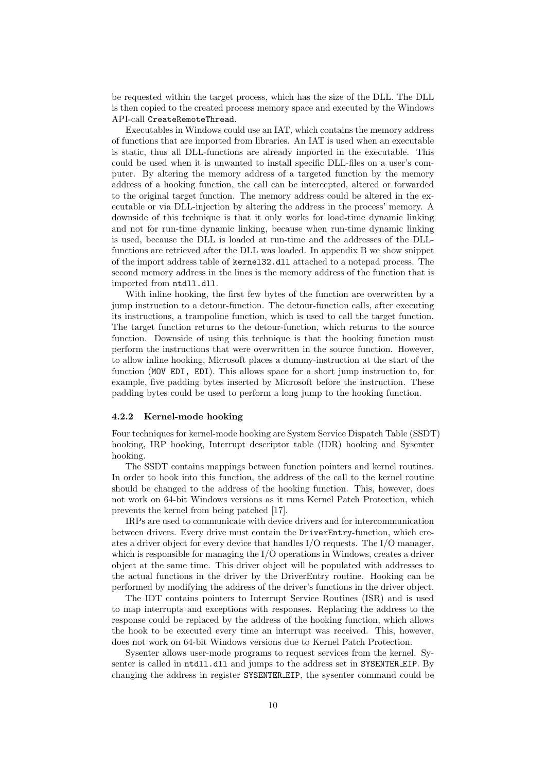be requested within the target process, which has the size of the DLL. The DLL is then copied to the created process memory space and executed by the Windows API-call CreateRemoteThread.

Executables in Windows could use an IAT, which contains the memory address of functions that are imported from libraries. An IAT is used when an executable is static, thus all DLL-functions are already imported in the executable. This could be used when it is unwanted to install specific DLL-files on a user's computer. By altering the memory address of a targeted function by the memory address of a hooking function, the call can be intercepted, altered or forwarded to the original target function. The memory address could be altered in the executable or via DLL-injection by altering the address in the process' memory. A downside of this technique is that it only works for load-time dynamic linking and not for run-time dynamic linking, because when run-time dynamic linking is used, because the DLL is loaded at run-time and the addresses of the DLLfunctions are retrieved after the DLL was loaded. In appendix [B](#page-29-0) we show snippet of the import address table of kernel32.dll attached to a notepad process. The second memory address in the lines is the memory address of the function that is imported from ntdll.dll.

With inline hooking, the first few bytes of the function are overwritten by a jump instruction to a detour-function. The detour-function calls, after executing its instructions, a trampoline function, which is used to call the target function. The target function returns to the detour-function, which returns to the source function. Downside of using this technique is that the hooking function must perform the instructions that were overwritten in the source function. However, to allow inline hooking, Microsoft places a dummy-instruction at the start of the function (MOV EDI, EDI). This allows space for a short jump instruction to, for example, five padding bytes inserted by Microsoft before the instruction. These padding bytes could be used to perform a long jump to the hooking function.

#### <span id="page-10-0"></span>4.2.2 Kernel-mode hooking

Four techniques for kernel-mode hooking are System Service Dispatch Table (SSDT) hooking, IRP hooking, Interrupt descriptor table (IDR) hooking and Sysenter hooking.

The SSDT contains mappings between function pointers and kernel routines. In order to hook into this function, the address of the call to the kernel routine should be changed to the address of the hooking function. This, however, does not work on 64-bit Windows versions as it runs Kernel Patch Protection, which prevents the kernel from being patched [\[17\]](#page-26-6).

IRPs are used to communicate with device drivers and for intercommunication between drivers. Every drive must contain the DriverEntry-function, which creates a driver object for every device that handles I/O requests. The I/O manager, which is responsible for managing the I/O operations in Windows, creates a driver object at the same time. This driver object will be populated with addresses to the actual functions in the driver by the DriverEntry routine. Hooking can be performed by modifying the address of the driver's functions in the driver object.

The IDT contains pointers to Interrupt Service Routines (ISR) and is used to map interrupts and exceptions with responses. Replacing the address to the response could be replaced by the address of the hooking function, which allows the hook to be executed every time an interrupt was received. This, however, does not work on 64-bit Windows versions due to Kernel Patch Protection.

Sysenter allows user-mode programs to request services from the kernel. Sysenter is called in ntdll.dll and jumps to the address set in SYSENTER EIP. By changing the address in register SYSENTER EIP, the sysenter command could be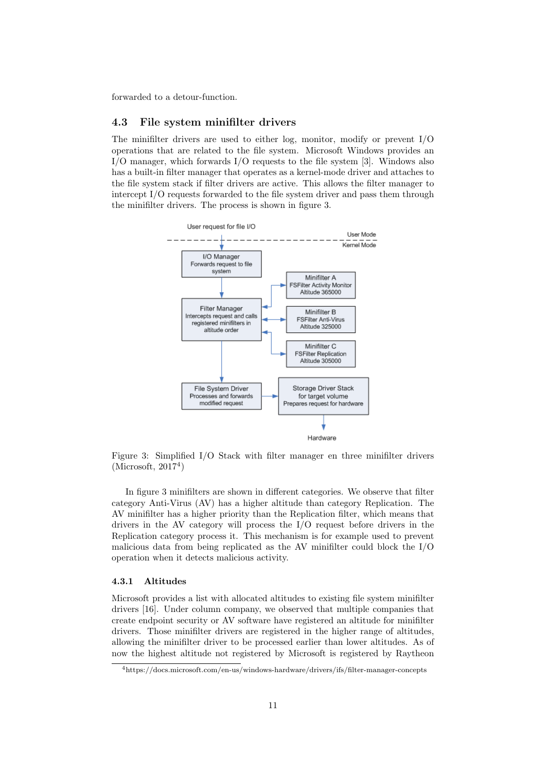forwarded to a detour-function.

#### <span id="page-11-0"></span>4.3 File system minifilter drivers

The minifilter drivers are used to either log, monitor, modify or prevent I/O operations that are related to the file system. Microsoft Windows provides an I/O manager, which forwards I/O requests to the file system [\[3\]](#page-25-7). Windows also has a built-in filter manager that operates as a kernel-mode driver and attaches to the file system stack if filter drivers are active. This allows the filter manager to intercept I/O requests forwarded to the file system driver and pass them through the minifilter drivers. The process is shown in figure [3.](#page-11-2)

<span id="page-11-2"></span>

Figure 3: Simplified I/O Stack with filter manager en three minifilter drivers  $(Microsoft, 2017<sup>4</sup>)$  $(Microsoft, 2017<sup>4</sup>)$  $(Microsoft, 2017<sup>4</sup>)$ 

In figure [3](#page-11-2) minifilters are shown in different categories. We observe that filter category Anti-Virus (AV) has a higher altitude than category Replication. The AV minifilter has a higher priority than the Replication filter, which means that drivers in the AV category will process the I/O request before drivers in the Replication category process it. This mechanism is for example used to prevent malicious data from being replicated as the AV minifilter could block the I/O operation when it detects malicious activity.

#### <span id="page-11-1"></span>4.3.1 Altitudes

Microsoft provides a list with allocated altitudes to existing file system minifilter drivers [\[16\]](#page-26-7). Under column company, we observed that multiple companies that create endpoint security or AV software have registered an altitude for minifilter drivers. Those minifilter drivers are registered in the higher range of altitudes, allowing the minifilter driver to be processed earlier than lower altitudes. As of now the highest altitude not registered by Microsoft is registered by Raytheon

<span id="page-11-3"></span><sup>4</sup>https://docs.microsoft.com/en-us/windows-hardware/drivers/ifs/filter-manager-concepts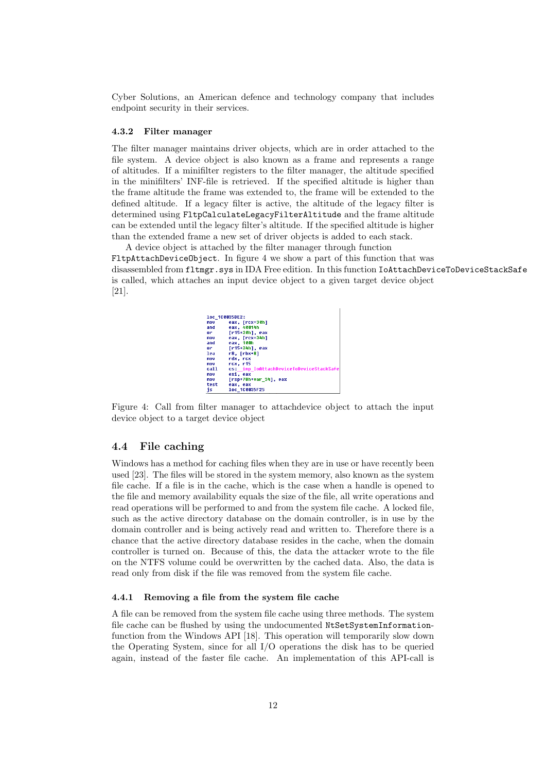Cyber Solutions, an American defence and technology company that includes endpoint security in their services.

#### <span id="page-12-0"></span>4.3.2 Filter manager

The filter manager maintains driver objects, which are in order attached to the file system. A device object is also known as a frame and represents a range of altitudes. If a minifilter registers to the filter manager, the altitude specified in the minifilters' INF-file is retrieved. If the specified altitude is higher than the frame altitude the frame was extended to, the frame will be extended to the defined altitude. If a legacy filter is active, the altitude of the legacy filter is determined using FltpCalculateLegacyFilterAltitude and the frame altitude can be extended until the legacy filter's altitude. If the specified altitude is higher than the extended frame a new set of driver objects is added to each stack.

<span id="page-12-3"></span>A device object is attached by the filter manager through function FltpAttachDeviceObject. In figure [4](#page-12-3) we show a part of this function that was disassembled from fltmgr.sys in IDA Free edition. In this function IoAttachDeviceToDeviceStackSafe is called, which attaches an input device object to a given target device object [\[21\]](#page-26-8).

| loc 100035DE2: |                                         |  |  |  |
|----------------|-----------------------------------------|--|--|--|
| mou            | eax, [rcx+30h]                          |  |  |  |
| and            | eax. 40014h                             |  |  |  |
| or             | [r15+30h], eax                          |  |  |  |
| mou            | eax, [rcx+34h]                          |  |  |  |
| and            | eax, 100h                               |  |  |  |
| or             | [r15+34h], eax                          |  |  |  |
| lea            | r8. [rbx+8]                             |  |  |  |
| mou            | rdx. rcx                                |  |  |  |
| mou            | rcx. r15                                |  |  |  |
| call           | cs: imp IoAttachDeviceToDeviceStackSafe |  |  |  |
| mou            | esi. eax                                |  |  |  |
| mnu            | [rsp+78h+var 34], eax                   |  |  |  |
| test           | eax. eax                                |  |  |  |
| is             | 1oc 1C0035F25                           |  |  |  |

Figure 4: Call from filter manager to attachdevice object to attach the input device object to a target device object

#### <span id="page-12-1"></span>4.4 File caching

Windows has a method for caching files when they are in use or have recently been used [\[23\]](#page-26-9). The files will be stored in the system memory, also known as the system file cache. If a file is in the cache, which is the case when a handle is opened to the file and memory availability equals the size of the file, all write operations and read operations will be performed to and from the system file cache. A locked file, such as the active directory database on the domain controller, is in use by the domain controller and is being actively read and written to. Therefore there is a chance that the active directory database resides in the cache, when the domain controller is turned on. Because of this, the data the attacker wrote to the file on the NTFS volume could be overwritten by the cached data. Also, the data is read only from disk if the file was removed from the system file cache.

#### <span id="page-12-2"></span>4.4.1 Removing a file from the system file cache

A file can be removed from the system file cache using three methods. The system file cache can be flushed by using the undocumented NtSetSystemInformationfunction from the Windows API [\[18\]](#page-26-10). This operation will temporarily slow down the Operating System, since for all I/O operations the disk has to be queried again, instead of the faster file cache. An implementation of this API-call is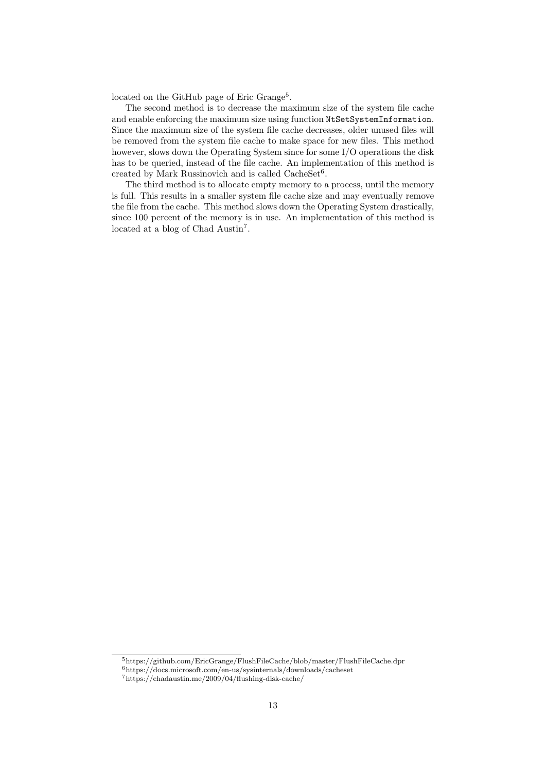located on the GitHub page of Eric Grange<sup>[5](#page-13-0)</sup>.

The second method is to decrease the maximum size of the system file cache and enable enforcing the maximum size using function NtSetSystemInformation. Since the maximum size of the system file cache decreases, older unused files will be removed from the system file cache to make space for new files. This method however, slows down the Operating System since for some I/O operations the disk has to be queried, instead of the file cache. An implementation of this method is created by Mark Russinovich and is called  $\text{CacheSet}^6$  $\text{CacheSet}^6$ .

The third method is to allocate empty memory to a process, until the memory is full. This results in a smaller system file cache size and may eventually remove the file from the cache. This method slows down the Operating System drastically, since 100 percent of the memory is in use. An implementation of this method is located at a blog of Chad Austin[7](#page-13-2) .

<span id="page-13-0"></span><sup>5</sup>https://github.com/EricGrange/FlushFileCache/blob/master/FlushFileCache.dpr

<span id="page-13-1"></span><sup>6</sup>https://docs.microsoft.com/en-us/sysinternals/downloads/cacheset

<span id="page-13-2"></span><sup>7</sup>https://chadaustin.me/2009/04/flushing-disk-cache/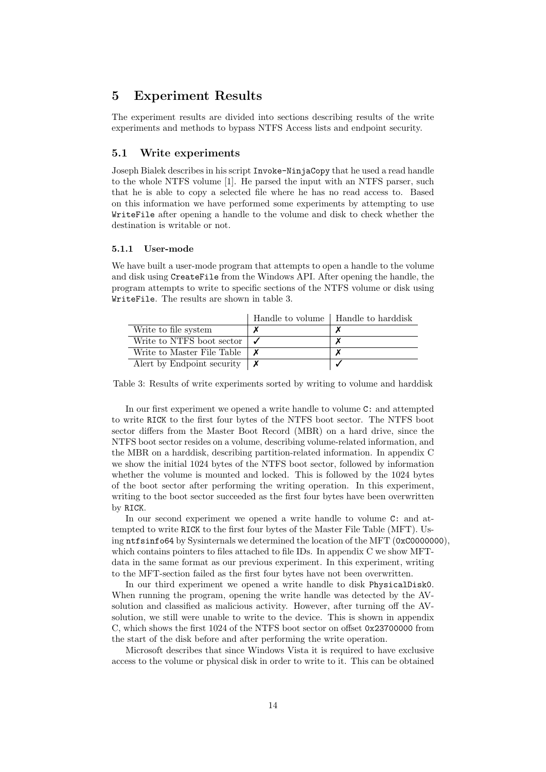### <span id="page-14-0"></span>5 Experiment Results

The experiment results are divided into sections describing results of the write experiments and methods to bypass NTFS Access lists and endpoint security.

#### <span id="page-14-1"></span>5.1 Write experiments

Joseph Bialek describes in his script Invoke-NinjaCopy that he used a read handle to the whole NTFS volume [\[1\]](#page-25-8). He parsed the input with an NTFS parser, such that he is able to copy a selected file where he has no read access to. Based on this information we have performed some experiments by attempting to use WriteFile after opening a handle to the volume and disk to check whether the destination is writable or not.

#### <span id="page-14-2"></span>5.1.1 User-mode

We have built a user-mode program that attempts to open a handle to the volume and disk using CreateFile from the Windows API. After opening the handle, the program attempts to write to specific sections of the NTFS volume or disk using WriteFile. The results are shown in table [3.](#page-14-3)

<span id="page-14-3"></span>

|                             | Handle to volume | Handle to harddisk |
|-----------------------------|------------------|--------------------|
| Write to file system        |                  |                    |
| Write to NTFS boot sector   |                  |                    |
| Write to Master File Table  |                  |                    |
| A lert by Endpoint security |                  |                    |

Table 3: Results of write experiments sorted by writing to volume and harddisk

In our first experiment we opened a write handle to volume C: and attempted to write RICK to the first four bytes of the NTFS boot sector. The NTFS boot sector differs from the Master Boot Record (MBR) on a hard drive, since the NTFS boot sector resides on a volume, describing volume-related information, and the MBR on a harddisk, describing partition-related information. In appendix [C](#page-29-1) we show the initial 1024 bytes of the NTFS boot sector, followed by information whether the volume is mounted and locked. This is followed by the 1024 bytes of the boot sector after performing the writing operation. In this experiment, writing to the boot sector succeeded as the first four bytes have been overwritten by RICK.

In our second experiment we opened a write handle to volume C: and attempted to write RICK to the first four bytes of the Master File Table (MFT). Using ntfsinfo64 by Sysinternals we determined the location of the MFT (0xC0000000), which contains pointers to files attached to file IDs. In appendix [C](#page-29-1) we show MFTdata in the same format as our previous experiment. In this experiment, writing to the MFT-section failed as the first four bytes have not been overwritten.

In our third experiment we opened a write handle to disk PhysicalDisk0. When running the program, opening the write handle was detected by the AVsolution and classified as malicious activity. However, after turning off the AVsolution, we still were unable to write to the device. This is shown in appendix [C,](#page-29-1) which shows the first 1024 of the NTFS boot sector on offset 0x23700000 from the start of the disk before and after performing the write operation.

Microsoft describes that since Windows Vista it is required to have exclusive access to the volume or physical disk in order to write to it. This can be obtained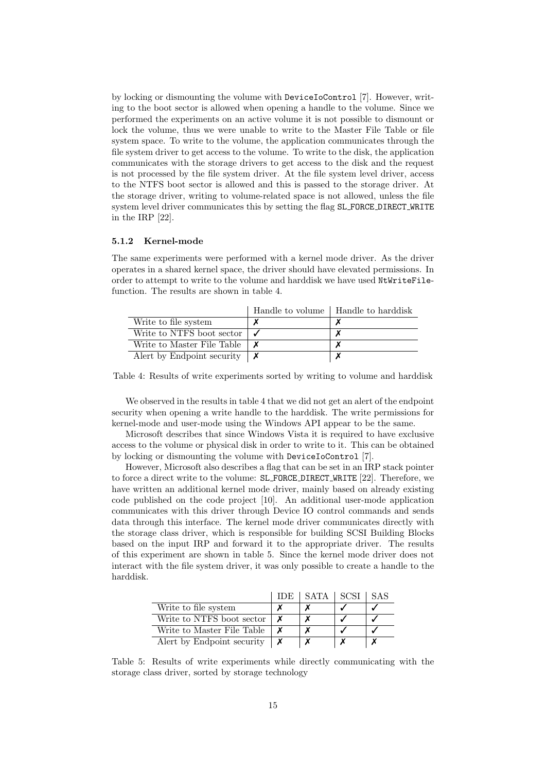by locking or dismounting the volume with DeviceIoControl [\[7\]](#page-25-5). However, writing to the boot sector is allowed when opening a handle to the volume. Since we performed the experiments on an active volume it is not possible to dismount or lock the volume, thus we were unable to write to the Master File Table or file system space. To write to the volume, the application communicates through the file system driver to get access to the volume. To write to the disk, the application communicates with the storage drivers to get access to the disk and the request is not processed by the file system driver. At the file system level driver, access to the NTFS boot sector is allowed and this is passed to the storage driver. At the storage driver, writing to volume-related space is not allowed, unless the file system level driver communicates this by setting the flag SL FORCE DIRECT WRITE in the IRP [\[22\]](#page-26-3).

#### <span id="page-15-0"></span>5.1.2 Kernel-mode

The same experiments were performed with a kernel mode driver. As the driver operates in a shared kernel space, the driver should have elevated permissions. In order to attempt to write to the volume and harddisk we have used NtWriteFilefunction. The results are shown in table [4.](#page-15-1)

<span id="page-15-1"></span>

|                             | Handle to volume | Handle to harddisk |
|-----------------------------|------------------|--------------------|
| Write to file system        |                  |                    |
| Write to NTFS boot sector   |                  |                    |
| Write to Master File Table  |                  |                    |
| A lert by Endpoint security |                  |                    |

Table 4: Results of write experiments sorted by writing to volume and harddisk

We observed in the results in table [4](#page-15-1) that we did not get an alert of the endpoint security when opening a write handle to the harddisk. The write permissions for kernel-mode and user-mode using the Windows API appear to be the same.

Microsoft describes that since Windows Vista it is required to have exclusive access to the volume or physical disk in order to write to it. This can be obtained by locking or dismounting the volume with DeviceIoControl [\[7\]](#page-25-5).

However, Microsoft also describes a flag that can be set in an IRP stack pointer to force a direct write to the volume: SL FORCE DIRECT WRITE [\[22\]](#page-26-3). Therefore, we have written an additional kernel mode driver, mainly based on already existing code published on the code project [\[10\]](#page-25-13). An additional user-mode application communicates with this driver through Device IO control commands and sends data through this interface. The kernel mode driver communicates directly with the storage class driver, which is responsible for building SCSI Building Blocks based on the input IRP and forward it to the appropriate driver. The results of this experiment are shown in table [5.](#page-15-2) Since the kernel mode driver does not interact with the file system driver, it was only possible to create a handle to the harddisk.

<span id="page-15-2"></span>

|                             | TDE. | SATA | -SCSI | SAS |
|-----------------------------|------|------|-------|-----|
| Write to file system        |      |      |       |     |
| Write to NTFS boot sector   |      |      |       |     |
| Write to Master File Table  |      |      |       |     |
| A lert by Endpoint security |      |      |       |     |

Table 5: Results of write experiments while directly communicating with the storage class driver, sorted by storage technology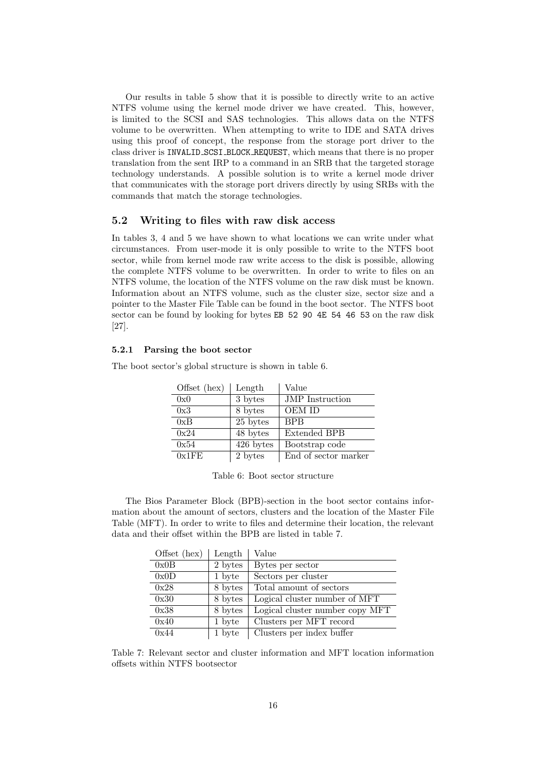Our results in table [5](#page-15-2) show that it is possible to directly write to an active NTFS volume using the kernel mode driver we have created. This, however, is limited to the SCSI and SAS technologies. This allows data on the NTFS volume to be overwritten. When attempting to write to IDE and SATA drives using this proof of concept, the response from the storage port driver to the class driver is INVALID SCSI BLOCK REQUEST, which means that there is no proper translation from the sent IRP to a command in an SRB that the targeted storage technology understands. A possible solution is to write a kernel mode driver that communicates with the storage port drivers directly by using SRBs with the commands that match the storage technologies.

#### <span id="page-16-0"></span>5.2 Writing to files with raw disk access

In tables [3,](#page-14-3) [4](#page-15-1) and [5](#page-15-2) we have shown to what locations we can write under what circumstances. From user-mode it is only possible to write to the NTFS boot sector, while from kernel mode raw write access to the disk is possible, allowing the complete NTFS volume to be overwritten. In order to write to files on an NTFS volume, the location of the NTFS volume on the raw disk must be known. Information about an NTFS volume, such as the cluster size, sector size and a pointer to the Master File Table can be found in the boot sector. The NTFS boot sector can be found by looking for bytes EB 52 90 4E 54 46 53 on the raw disk [\[27\]](#page-26-11).

#### <span id="page-16-1"></span>5.2.1 Parsing the boot sector

<span id="page-16-2"></span>The boot sector's global structure is shown in table [6.](#page-16-2)

| Offset (hex) | Length    | Value                  |
|--------------|-----------|------------------------|
| 0x0          | 3 bytes   | <b>JMP</b> Instruction |
| 0x3          | 8 bytes   | OEM ID                 |
| 0xB          | 25 bytes  | <b>BPB</b>             |
| 0x24         | 48 bytes  | <b>Extended BPB</b>    |
| 0x54         | 426 bytes | Bootstrap code         |
| 0x1FE        | 2 bytes   | End of sector marker   |

Table 6: Boot sector structure

The Bios Parameter Block (BPB)-section in the boot sector contains information about the amount of sectors, clusters and the location of the Master File Table (MFT). In order to write to files and determine their location, the relevant data and their offset within the BPB are listed in table [7.](#page-16-3)

<span id="page-16-3"></span>

| Offset (hex) | Length  | Value                           |
|--------------|---------|---------------------------------|
| 0x0B         | 2 bytes | Bytes per sector                |
| 0x0D         | 1 byte  | Sectors per cluster             |
| 0x28         | 8 bytes | Total amount of sectors         |
| 0x30         | 8 bytes | Logical cluster number of MFT   |
| 0x38         | 8 bytes | Logical cluster number copy MFT |
| 0x40         | 1 byte  | Clusters per MFT record         |
| 0x44         | 1 byte  | Clusters per index buffer       |

Table 7: Relevant sector and cluster information and MFT location information offsets within NTFS bootsector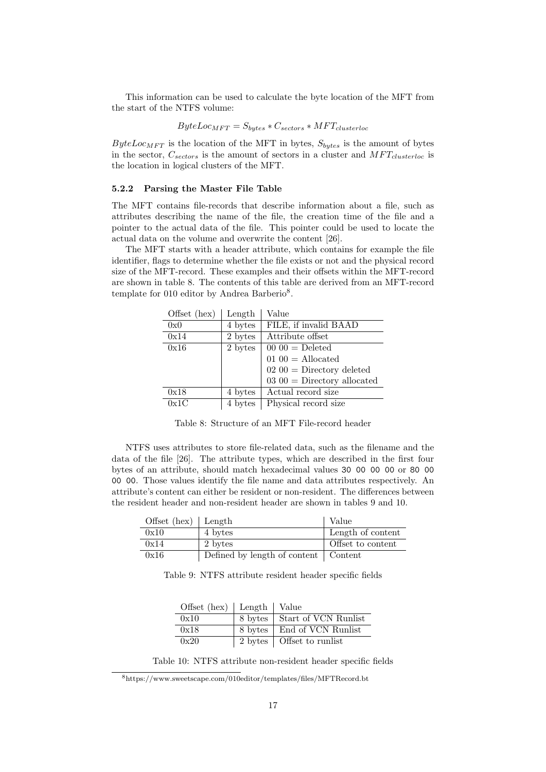This information can be used to calculate the byte location of the MFT from the start of the NTFS volume:

$$
ByteLoc_{MFT} = S_{bytes} * C_{sectors} * MFT_{clusterloc}
$$

 $ByteLoc_{MFT}$  is the location of the MFT in bytes,  $S_{bytes}$  is the amount of bytes in the sector,  $C_{sectors}$  is the amount of sectors in a cluster and  $MFT_{clusterloc}$  is the location in logical clusters of the MFT.

#### <span id="page-17-0"></span>5.2.2 Parsing the Master File Table

The MFT contains file-records that describe information about a file, such as attributes describing the name of the file, the creation time of the file and a pointer to the actual data of the file. This pointer could be used to locate the actual data on the volume and overwrite the content [\[26\]](#page-26-0).

The MFT starts with a header attribute, which contains for example the file identifier, flags to determine whether the file exists or not and the physical record size of the MFT-record. These examples and their offsets within the MFT-record are shown in table [8.](#page-17-1) The contents of this table are derived from an MFT-record template for 010 editor by Andrea Barberio<sup>[8](#page-17-2)</sup>.

Offset (hex) | Length | Value

<span id="page-17-1"></span>

| 0x0  | 4 bytes | FILE, if invalid BAAD        |
|------|---------|------------------------------|
| 0x14 | 2 bytes | Attribute offset             |
| 0x16 | 2 bytes | $0000 =$ Deleted             |
|      |         | 01 $00 =$ Allocated          |
|      |         | $0200 =$ Directory deleted   |
|      |         | $0300 =$ Directory allocated |
| 0x18 | 4 bytes | Actual record size           |
| 0x1C | 4 bytes | Physical record size         |

Table 8: Structure of an MFT File-record header

NTFS uses attributes to store file-related data, such as the filename and the data of the file [\[26\]](#page-26-0). The attribute types, which are described in the first four bytes of an attribute, should match hexadecimal values 30 00 00 00 or 80 00 00 00. Those values identify the file name and data attributes respectively. An attribute's content can either be resident or non-resident. The differences between the resident header and non-resident header are shown in tables [9](#page-17-3) and [10.](#page-17-4)

<span id="page-17-3"></span>

| Offset $(hex)$ Length |                                        | Value                    |
|-----------------------|----------------------------------------|--------------------------|
| 0x10                  | 4 bytes                                | Length of content        |
| 0x14                  | 2 bytes                                | <b>Offset to content</b> |
| 0x16                  | Defined by length of content   Content |                          |

<span id="page-17-4"></span>Table 9: NTFS attribute resident header specific fields

| Offset $(hex)$   Length   Value |                              |
|---------------------------------|------------------------------|
| 0x10                            | 8 bytes Start of VCN Runlist |
| 0x18                            | 8 bytes   End of VCN Runlist |
| 0x20                            | 2 bytes   Offset to runlist  |

Table 10: NTFS attribute non-resident header specific fields

<span id="page-17-2"></span><sup>8</sup>https://www.sweetscape.com/010editor/templates/files/MFTRecord.bt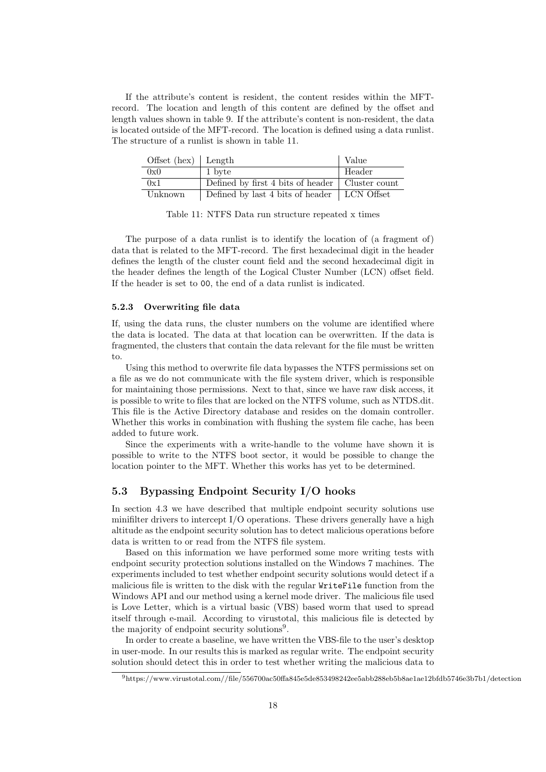If the attribute's content is resident, the content resides within the MFTrecord. The location and length of this content are defined by the offset and length values shown in table [9.](#page-17-3) If the attribute's content is non-resident, the data is located outside of the MFT-record. The location is defined using a data runlist. The structure of a runlist is shown in table [11.](#page-18-2)

<span id="page-18-2"></span>

| Offset $(hex)$   Length |                                                   | Value  |
|-------------------------|---------------------------------------------------|--------|
| 0x0                     | 1 byte                                            | Header |
| 0x1                     | Defined by first 4 bits of header   Cluster count |        |
| Unknown                 | Defined by last 4 bits of header   LCN Offset     |        |

Table 11: NTFS Data run structure repeated x times

The purpose of a data runlist is to identify the location of (a fragment of) data that is related to the MFT-record. The first hexadecimal digit in the header defines the length of the cluster count field and the second hexadecimal digit in the header defines the length of the Logical Cluster Number (LCN) offset field. If the header is set to 00, the end of a data runlist is indicated.

#### <span id="page-18-0"></span>5.2.3 Overwriting file data

If, using the data runs, the cluster numbers on the volume are identified where the data is located. The data at that location can be overwritten. If the data is fragmented, the clusters that contain the data relevant for the file must be written to.

Using this method to overwrite file data bypasses the NTFS permissions set on a file as we do not communicate with the file system driver, which is responsible for maintaining those permissions. Next to that, since we have raw disk access, it is possible to write to files that are locked on the NTFS volume, such as NTDS.dit. This file is the Active Directory database and resides on the domain controller. Whether this works in combination with flushing the system file cache, has been added to future work.

Since the experiments with a write-handle to the volume have shown it is possible to write to the NTFS boot sector, it would be possible to change the location pointer to the MFT. Whether this works has yet to be determined.

#### <span id="page-18-1"></span>5.3 Bypassing Endpoint Security I/O hooks

In section [4.3](#page-11-0) we have described that multiple endpoint security solutions use minifilter drivers to intercept I/O operations. These drivers generally have a high altitude as the endpoint security solution has to detect malicious operations before data is written to or read from the NTFS file system.

Based on this information we have performed some more writing tests with endpoint security protection solutions installed on the Windows 7 machines. The experiments included to test whether endpoint security solutions would detect if a malicious file is written to the disk with the regular WriteFile function from the Windows API and our method using a kernel mode driver. The malicious file used is Love Letter, which is a virtual basic (VBS) based worm that used to spread itself through e-mail. According to virustotal, this malicious file is detected by the majority of endpoint security solutions<sup>[9](#page-18-3)</sup>.

In order to create a baseline, we have written the VBS-file to the user's desktop in user-mode. In our results this is marked as regular write. The endpoint security solution should detect this in order to test whether writing the malicious data to

<span id="page-18-3"></span> $^{9}$ https://www.virustotal.com//file/556700ac50ffa845e5de853498242ee5abb288eb5b8ae1ae12bfdb5746e3b7b1/detection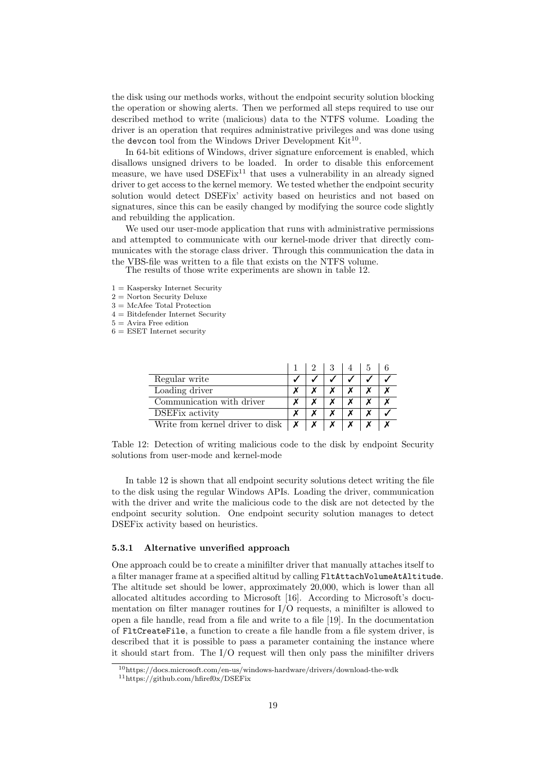the disk using our methods works, without the endpoint security solution blocking the operation or showing alerts. Then we performed all steps required to use our described method to write (malicious) data to the NTFS volume. Loading the driver is an operation that requires administrative privileges and was done using the devcon tool from the Windows Driver Development  $\mathrm{Kit}^{10}$  $\mathrm{Kit}^{10}$  $\mathrm{Kit}^{10}$ .

In 64-bit editions of Windows, driver signature enforcement is enabled, which disallows unsigned drivers to be loaded. In order to disable this enforcement measure, we have used  $DSEFix<sup>11</sup>$  $DSEFix<sup>11</sup>$  $DSEFix<sup>11</sup>$  that uses a vulnerability in an already signed driver to get access to the kernel memory. We tested whether the endpoint security solution would detect DSEFix' activity based on heuristics and not based on signatures, since this can be easily changed by modifying the source code slightly and rebuilding the application.

We used our user-mode application that runs with administrative permissions and attempted to communicate with our kernel-mode driver that directly communicates with the storage class driver. Through this communication the data in the VBS-file was written to a file that exists on the NTFS volume.

The results of those write experiments are shown in table [12.](#page-19-3)

 $1 =$  Kaspersky Internet Security

 $2 =$  Norton Security Deluxe

3 = McAfee Total Protection

- 4 = Bitdefender Internet Security
- $5 =$ Avira Free edition
- <span id="page-19-3"></span> $6 = ESET$  Internet security

| Regular write                    |  |  |  |
|----------------------------------|--|--|--|
| Loading driver                   |  |  |  |
| Communication with driver        |  |  |  |
| <b>DSEF</b> ix activity          |  |  |  |
| Write from kernel driver to disk |  |  |  |

Table 12: Detection of writing malicious code to the disk by endpoint Security solutions from user-mode and kernel-mode

In table [12](#page-19-3) is shown that all endpoint security solutions detect writing the file to the disk using the regular Windows APIs. Loading the driver, communication with the driver and write the malicious code to the disk are not detected by the endpoint security solution. One endpoint security solution manages to detect DSEFix activity based on heuristics.

#### <span id="page-19-0"></span>5.3.1 Alternative unverified approach

One approach could be to create a minifilter driver that manually attaches itself to a filter manager frame at a specified altitud by calling FltAttachVolumeAtAltitude. The altitude set should be lower, approximately 20,000, which is lower than all allocated altitudes according to Microsoft [\[16\]](#page-26-7). According to Microsoft's documentation on filter manager routines for I/O requests, a minifilter is allowed to open a file handle, read from a file and write to a file [\[19\]](#page-26-12). In the documentation of FltCreateFile, a function to create a file handle from a file system driver, is described that it is possible to pass a parameter containing the instance where it should start from. The I/O request will then only pass the minifilter drivers

<span id="page-19-1"></span> $10$ https://docs.microsoft.com/en-us/windows-hardware/drivers/download-the-wdk

<span id="page-19-2"></span><sup>11</sup>https://github.com/hfiref0x/DSEFix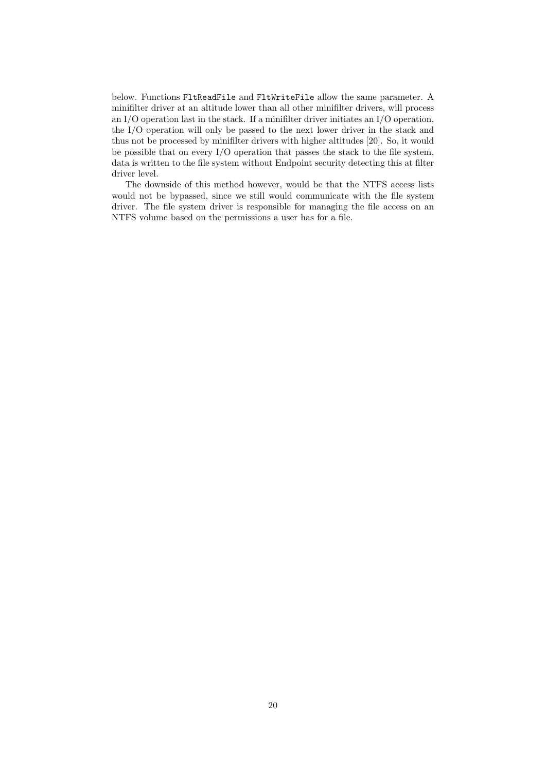below. Functions FltReadFile and FltWriteFile allow the same parameter. A minifilter driver at an altitude lower than all other minifilter drivers, will process an I/O operation last in the stack. If a minifilter driver initiates an I/O operation, the I/O operation will only be passed to the next lower driver in the stack and thus not be processed by minifilter drivers with higher altitudes [\[20\]](#page-26-13). So, it would be possible that on every  $I/O$  operation that passes the stack to the file system, data is written to the file system without Endpoint security detecting this at filter driver level.

The downside of this method however, would be that the NTFS access lists would not be bypassed, since we still would communicate with the file system driver. The file system driver is responsible for managing the file access on an NTFS volume based on the permissions a user has for a file.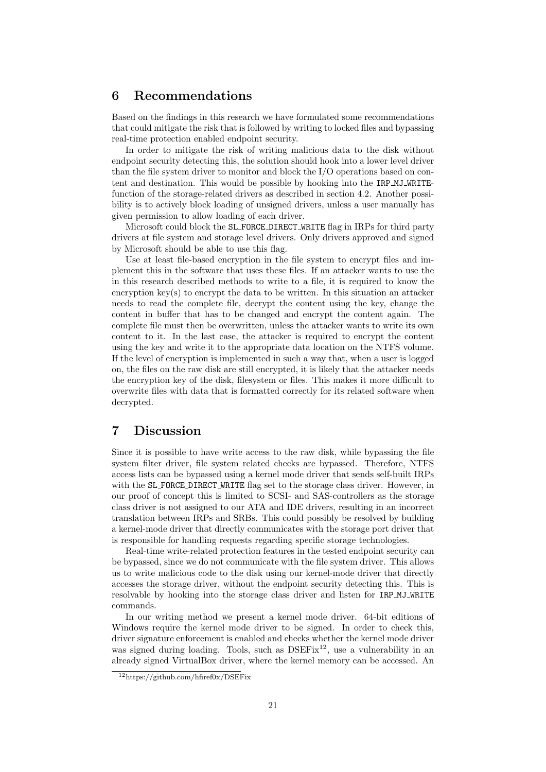### <span id="page-21-0"></span>6 Recommendations

Based on the findings in this research we have formulated some recommendations that could mitigate the risk that is followed by writing to locked files and bypassing real-time protection enabled endpoint security.

In order to mitigate the risk of writing malicious data to the disk without endpoint security detecting this, the solution should hook into a lower level driver than the file system driver to monitor and block the I/O operations based on content and destination. This would be possible by hooking into the IRP MJ WRITEfunction of the storage-related drivers as described in section [4.2.](#page-9-0) Another possibility is to actively block loading of unsigned drivers, unless a user manually has given permission to allow loading of each driver.

Microsoft could block the SL FORCE DIRECT WRITE flag in IRPs for third party drivers at file system and storage level drivers. Only drivers approved and signed by Microsoft should be able to use this flag.

Use at least file-based encryption in the file system to encrypt files and implement this in the software that uses these files. If an attacker wants to use the in this research described methods to write to a file, it is required to know the encryption key(s) to encrypt the data to be written. In this situation an attacker needs to read the complete file, decrypt the content using the key, change the content in buffer that has to be changed and encrypt the content again. The complete file must then be overwritten, unless the attacker wants to write its own content to it. In the last case, the attacker is required to encrypt the content using the key and write it to the appropriate data location on the NTFS volume. If the level of encryption is implemented in such a way that, when a user is logged on, the files on the raw disk are still encrypted, it is likely that the attacker needs the encryption key of the disk, filesystem or files. This makes it more difficult to overwrite files with data that is formatted correctly for its related software when decrypted.

### <span id="page-21-1"></span>7 Discussion

Since it is possible to have write access to the raw disk, while bypassing the file system filter driver, file system related checks are bypassed. Therefore, NTFS access lists can be bypassed using a kernel mode driver that sends self-built IRPs with the SL\_FORCE\_DIRECT\_WRITE flag set to the storage class driver. However, in our proof of concept this is limited to SCSI- and SAS-controllers as the storage class driver is not assigned to our ATA and IDE drivers, resulting in an incorrect translation between IRPs and SRBs. This could possibly be resolved by building a kernel-mode driver that directly communicates with the storage port driver that is responsible for handling requests regarding specific storage technologies.

Real-time write-related protection features in the tested endpoint security can be bypassed, since we do not communicate with the file system driver. This allows us to write malicious code to the disk using our kernel-mode driver that directly accesses the storage driver, without the endpoint security detecting this. This is resolvable by hooking into the storage class driver and listen for IRP MJ WRITE commands.

In our writing method we present a kernel mode driver. 64-bit editions of Windows require the kernel mode driver to be signed. In order to check this, driver signature enforcement is enabled and checks whether the kernel mode driver was signed during loading. Tools, such as  $DSEFix^{12}$  $DSEFix^{12}$  $DSEFix^{12}$ , use a vulnerability in an already signed VirtualBox driver, where the kernel memory can be accessed. An

<span id="page-21-2"></span> $12$ https://github.com/hfiref0x/DSEFix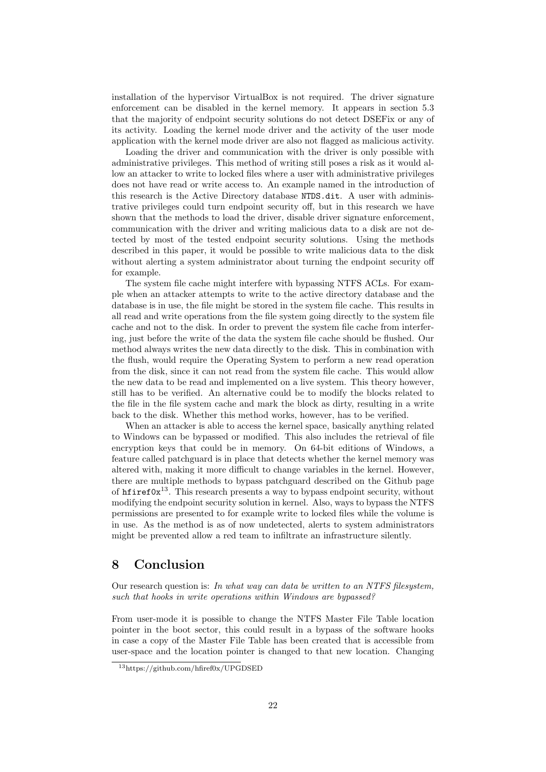installation of the hypervisor VirtualBox is not required. The driver signature enforcement can be disabled in the kernel memory. It appears in section [5.3](#page-18-1) that the majority of endpoint security solutions do not detect DSEFix or any of its activity. Loading the kernel mode driver and the activity of the user mode application with the kernel mode driver are also not flagged as malicious activity.

Loading the driver and communication with the driver is only possible with administrative privileges. This method of writing still poses a risk as it would allow an attacker to write to locked files where a user with administrative privileges does not have read or write access to. An example named in the introduction of this research is the Active Directory database NTDS.dit. A user with administrative privileges could turn endpoint security off, but in this research we have shown that the methods to load the driver, disable driver signature enforcement, communication with the driver and writing malicious data to a disk are not detected by most of the tested endpoint security solutions. Using the methods described in this paper, it would be possible to write malicious data to the disk without alerting a system administrator about turning the endpoint security off for example.

The system file cache might interfere with bypassing NTFS ACLs. For example when an attacker attempts to write to the active directory database and the database is in use, the file might be stored in the system file cache. This results in all read and write operations from the file system going directly to the system file cache and not to the disk. In order to prevent the system file cache from interfering, just before the write of the data the system file cache should be flushed. Our method always writes the new data directly to the disk. This in combination with the flush, would require the Operating System to perform a new read operation from the disk, since it can not read from the system file cache. This would allow the new data to be read and implemented on a live system. This theory however, still has to be verified. An alternative could be to modify the blocks related to the file in the file system cache and mark the block as dirty, resulting in a write back to the disk. Whether this method works, however, has to be verified.

When an attacker is able to access the kernel space, basically anything related to Windows can be bypassed or modified. This also includes the retrieval of file encryption keys that could be in memory. On 64-bit editions of Windows, a feature called patchguard is in place that detects whether the kernel memory was altered with, making it more difficult to change variables in the kernel. However, there are multiple methods to bypass patchguard described on the Github page of  $h$ firef0x<sup>[13](#page-22-1)</sup>. This research presents a way to bypass endpoint security, without modifying the endpoint security solution in kernel. Also, ways to bypass the NTFS permissions are presented to for example write to locked files while the volume is in use. As the method is as of now undetected, alerts to system administrators might be prevented allow a red team to infiltrate an infrastructure silently.

### <span id="page-22-0"></span>8 Conclusion

Our research question is: In what way can data be written to an NTFS filesystem, such that hooks in write operations within Windows are bypassed?

From user-mode it is possible to change the NTFS Master File Table location pointer in the boot sector, this could result in a bypass of the software hooks in case a copy of the Master File Table has been created that is accessible from user-space and the location pointer is changed to that new location. Changing

<span id="page-22-1"></span><sup>13</sup>https://github.com/hfiref0x/UPGDSED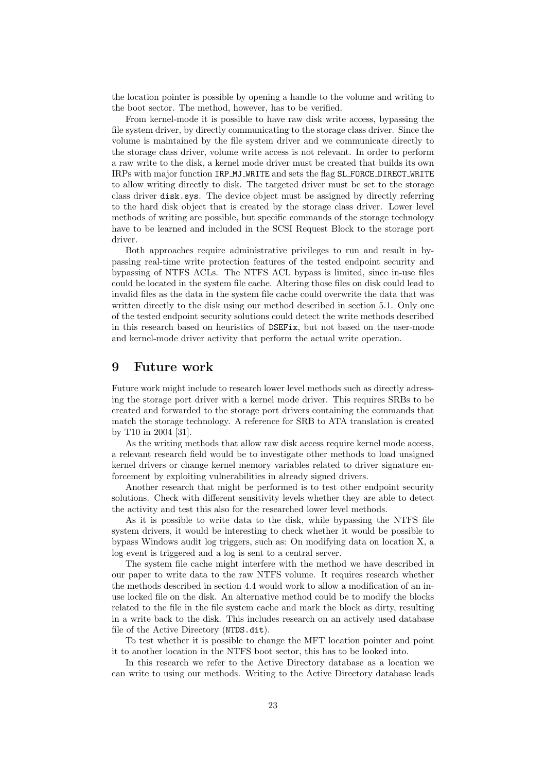the location pointer is possible by opening a handle to the volume and writing to the boot sector. The method, however, has to be verified.

From kernel-mode it is possible to have raw disk write access, bypassing the file system driver, by directly communicating to the storage class driver. Since the volume is maintained by the file system driver and we communicate directly to the storage class driver, volume write access is not relevant. In order to perform a raw write to the disk, a kernel mode driver must be created that builds its own IRPs with major function IRP MJ WRITE and sets the flag SL FORCE DIRECT WRITE to allow writing directly to disk. The targeted driver must be set to the storage class driver disk.sys. The device object must be assigned by directly referring to the hard disk object that is created by the storage class driver. Lower level methods of writing are possible, but specific commands of the storage technology have to be learned and included in the SCSI Request Block to the storage port driver.

Both approaches require administrative privileges to run and result in bypassing real-time write protection features of the tested endpoint security and bypassing of NTFS ACLs. The NTFS ACL bypass is limited, since in-use files could be located in the system file cache. Altering those files on disk could lead to invalid files as the data in the system file cache could overwrite the data that was written directly to the disk using our method described in section [5.1.](#page-14-1) Only one of the tested endpoint security solutions could detect the write methods described in this research based on heuristics of DSEFix, but not based on the user-mode and kernel-mode driver activity that perform the actual write operation.

### <span id="page-23-0"></span>9 Future work

Future work might include to research lower level methods such as directly adressing the storage port driver with a kernel mode driver. This requires SRBs to be created and forwarded to the storage port drivers containing the commands that match the storage technology. A reference for SRB to ATA translation is created by T10 in 2004 [\[31\]](#page-27-3).

As the writing methods that allow raw disk access require kernel mode access, a relevant research field would be to investigate other methods to load unsigned kernel drivers or change kernel memory variables related to driver signature enforcement by exploiting vulnerabilities in already signed drivers.

Another research that might be performed is to test other endpoint security solutions. Check with different sensitivity levels whether they are able to detect the activity and test this also for the researched lower level methods.

As it is possible to write data to the disk, while bypassing the NTFS file system drivers, it would be interesting to check whether it would be possible to bypass Windows audit log triggers, such as: On modifying data on location X, a log event is triggered and a log is sent to a central server.

The system file cache might interfere with the method we have described in our paper to write data to the raw NTFS volume. It requires research whether the methods described in section [4.4](#page-12-1) would work to allow a modification of an inuse locked file on the disk. An alternative method could be to modify the blocks related to the file in the file system cache and mark the block as dirty, resulting in a write back to the disk. This includes research on an actively used database file of the Active Directory (NTDS.dit).

To test whether it is possible to change the MFT location pointer and point it to another location in the NTFS boot sector, this has to be looked into.

In this research we refer to the Active Directory database as a location we can write to using our methods. Writing to the Active Directory database leads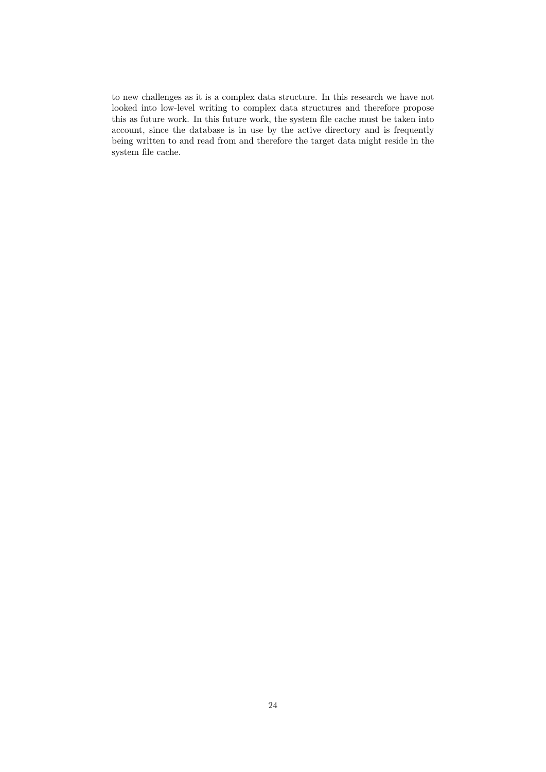to new challenges as it is a complex data structure. In this research we have not looked into low-level writing to complex data structures and therefore propose this as future work. In this future work, the system file cache must be taken into account, since the database is in use by the active directory and is frequently being written to and read from and therefore the target data might reside in the system file cache.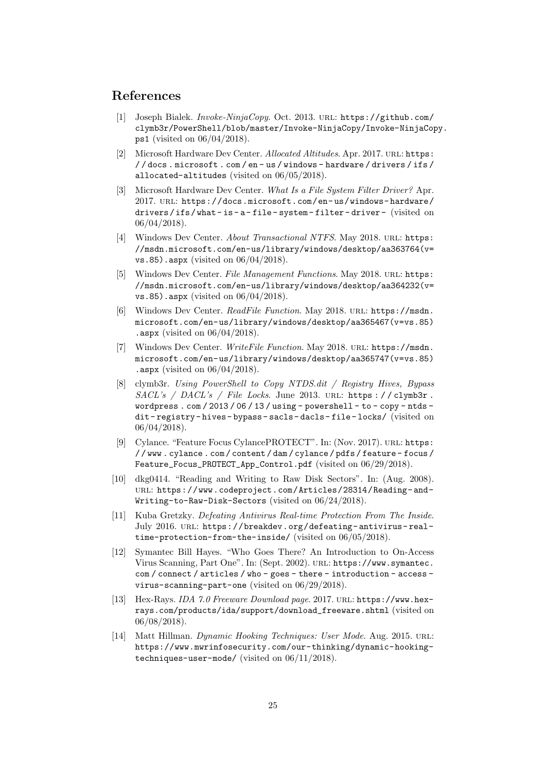### References

- <span id="page-25-8"></span>[1] Joseph Bialek. Invoke-NinjaCopy. Oct. 2013. url: [https://github.com/](https://github.com/clymb3r/PowerShell/blob/master/Invoke-NinjaCopy/Invoke-NinjaCopy.ps1) [clymb3r/PowerShell/blob/master/Invoke-NinjaCopy/Invoke-NinjaCop](https://github.com/clymb3r/PowerShell/blob/master/Invoke-NinjaCopy/Invoke-NinjaCopy.ps1)y. [ps1](https://github.com/clymb3r/PowerShell/blob/master/Invoke-NinjaCopy/Invoke-NinjaCopy.ps1) (visited on 06/04/2018).
- <span id="page-25-6"></span>[2] Microsoft Hardware Dev Center. Allocated Altitudes. Apr. 2017. URL: [https:](https://docs.microsoft.com/en-us/windows-hardware/drivers/ifs/allocated-altitudes) [/ / docs . microsoft . com / en - us / windows - hardware / drivers / ifs /](https://docs.microsoft.com/en-us/windows-hardware/drivers/ifs/allocated-altitudes) [allocated-altitudes](https://docs.microsoft.com/en-us/windows-hardware/drivers/ifs/allocated-altitudes) (visited on 06/05/2018).
- <span id="page-25-7"></span>[3] Microsoft Hardware Dev Center. What Is a File System Filter Driver? Apr. 2017. URL: https://docs.microsoft.com/en-us/windows-hardware/ [drivers / ifs / what - is - a - file - system - filter - driver -](https://docs.microsoft.com/en-us/windows-hardware/drivers/ifs/what-is-a-file-system-filter-driver-) (visited on 06/04/2018).
- <span id="page-25-2"></span>[4] Windows Dev Center. About Transactional NTFS. May 2018. URL: [https:](https://msdn.microsoft.com/en-us/library/windows/desktop/aa363764(v=vs.85).aspx) [//msdn.microsoft.com/en-us/library/windows/desktop/aa363764\(v=](https://msdn.microsoft.com/en-us/library/windows/desktop/aa363764(v=vs.85).aspx) [vs.85\).aspx](https://msdn.microsoft.com/en-us/library/windows/desktop/aa363764(v=vs.85).aspx) (visited on 06/04/2018).
- <span id="page-25-3"></span>[5] Windows Dev Center. File Management Functions. May 2018. URL: [https:](https://msdn.microsoft.com/en-us/library/windows/desktop/aa364232(v=vs.85).aspx) [//msdn.microsoft.com/en-us/library/windows/desktop/aa364232\(v=](https://msdn.microsoft.com/en-us/library/windows/desktop/aa364232(v=vs.85).aspx) [vs.85\).aspx](https://msdn.microsoft.com/en-us/library/windows/desktop/aa364232(v=vs.85).aspx) (visited on 06/04/2018).
- <span id="page-25-4"></span>[6] Windows Dev Center. ReadFile Function. May 2018. url: [https://msdn.](https://msdn.microsoft.com/en-us/library/windows/desktop/aa365467(v=vs.85).aspx) [microsoft.com/en-us/library/windows/desktop/aa365467\(v=vs.85\)](https://msdn.microsoft.com/en-us/library/windows/desktop/aa365467(v=vs.85).aspx) [.aspx](https://msdn.microsoft.com/en-us/library/windows/desktop/aa365467(v=vs.85).aspx) (visited on  $06/04/2018$ ).
- <span id="page-25-5"></span>[7] Windows Dev Center. WriteFile Function. May 2018. url: [https://msdn.](https://msdn.microsoft.com/en-us/library/windows/desktop/aa365747(v=vs.85).aspx) [microsoft.com/en-us/library/windows/desktop/aa365747\(v=vs.85\)](https://msdn.microsoft.com/en-us/library/windows/desktop/aa365747(v=vs.85).aspx) [.aspx](https://msdn.microsoft.com/en-us/library/windows/desktop/aa365747(v=vs.85).aspx) (visited on  $06/04/2018$ ).
- <span id="page-25-9"></span>[8] clymb3r. Using PowerShell to Copy NTDS.dit / Registry Hives, Bypass  $SACL's$  /  $DACL's$  / File Locks. June 2013. URL: https://clymb3r. wordpress.com/2013/06/13/using-powershell-to-copy-ntds[dit - registry - hives - bypass - sacls- dacls- file- locks/](https://clymb3r.wordpress.com/2013/06/13/using-powershell-to-copy-ntds-dit-registry-hives-bypass-sacls-dacls-file-locks/) (visited on 06/04/2018).
- <span id="page-25-1"></span>[9] Cylance. "Feature Focus CylancePROTECT". In: (Nov. 2017). URL: [https:](https://www.cylance.com/content/dam/cylance/pdfs/feature-focus/Feature_Focus_PROTECT_App_Control.pdf) [/ / www . cylance . com / content / dam / cylance / pdfs / feature - focus /](https://www.cylance.com/content/dam/cylance/pdfs/feature-focus/Feature_Focus_PROTECT_App_Control.pdf) [Feature\\_Focus\\_PROTECT\\_App\\_Control.pdf](https://www.cylance.com/content/dam/cylance/pdfs/feature-focus/Feature_Focus_PROTECT_App_Control.pdf) (visited on 06/29/2018).
- <span id="page-25-13"></span>[10] dkg0414. "Reading and Writing to Raw Disk Sectors". In: (Aug. 2008). url: [https://www.codeproject.com/Articles/28314/Reading- and-](https://www.codeproject.com/Articles/28314/Reading-and-Writing-to-Raw-Disk-Sectors)[Writing-to-Raw-Disk-Sectors](https://www.codeproject.com/Articles/28314/Reading-and-Writing-to-Raw-Disk-Sectors) (visited on 06/24/2018).
- <span id="page-25-10"></span>[11] Kuba Gretzky. Defeating Antivirus Real-time Protection From The Inside. July 2016. URL: https://breakdev.org/defeating-antivirus-real[time-protection-from-the-inside/](https://breakdev.org/defeating-antivirus-real-time-protection-from-the-inside/) (visited on 06/05/2018).
- <span id="page-25-0"></span>[12] Symantec Bill Hayes. "Who Goes There? An Introduction to On-Access Virus Scanning, Part One". In: (Sept. 2002). url: [https://www.symantec.](https://www.symantec.com/connect/articles/who-goes-there-introduction-access-virus-scanning-part-one) [com / connect / articles / who - goes - there - introduction - access](https://www.symantec.com/connect/articles/who-goes-there-introduction-access-virus-scanning-part-one)  [virus-scanning-part-one](https://www.symantec.com/connect/articles/who-goes-there-introduction-access-virus-scanning-part-one) (visited on 06/29/2018).
- <span id="page-25-11"></span>[13] Hex-Rays. IDA 7.0 Freeware Download page. 2017. url: [https://www.hex](https://www.hex-rays.com/products/ida/support/download_freeware.shtml)[rays.com/products/ida/support/download\\_freeware.shtml](https://www.hex-rays.com/products/ida/support/download_freeware.shtml) (visited on 06/08/2018).
- <span id="page-25-12"></span>[14] Matt Hillman. Dynamic Hooking Techniques: User Mode. Aug. 2015. URL: [https://www.mwrinfosecurity.com/our-thinking/dynamic-hooking](https://www.mwrinfosecurity.com/our-thinking/dynamic-hooking-techniques-user-mode/)[techniques-user-mode/](https://www.mwrinfosecurity.com/our-thinking/dynamic-hooking-techniques-user-mode/) (visited on 06/11/2018).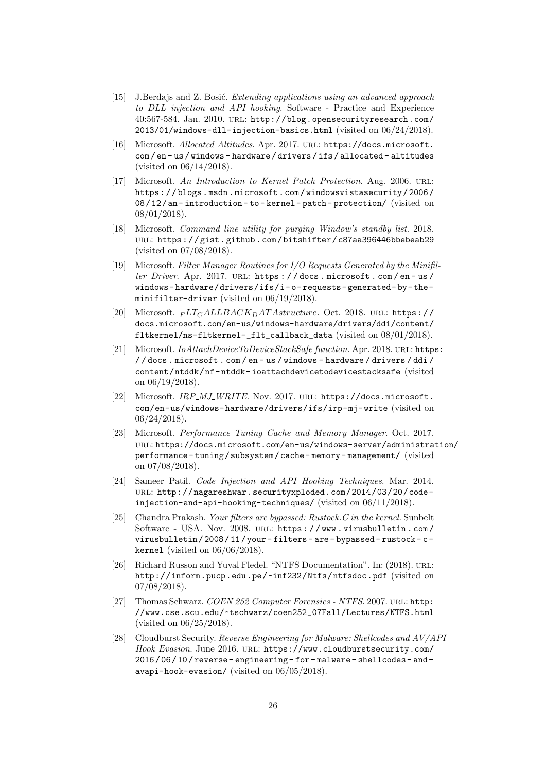- <span id="page-26-5"></span>[15] J.Berdajs and Z. Bosić. Extending applications using an advanced approach to DLL injection and API hooking. Software - Practice and Experience 40:567-584. Jan. 2010. url: [http://blog.opensecurityresearch.com/](http://blog.opensecurityresearch.com/2013/01/windows-dll-injection-basics.html) [2013/01/windows-dll-injection-basics.html](http://blog.opensecurityresearch.com/2013/01/windows-dll-injection-basics.html) (visited on 06/24/2018).
- <span id="page-26-7"></span>[16] Microsoft. Allocated Altitudes. Apr. 2017. URL: [https://docs.microsoft.](https://docs.microsoft.com/en-us/windows-hardware/drivers/ifs/allocated-altitudes) [com / en - us / windows - hardware / drivers / ifs / allocated - altitudes](https://docs.microsoft.com/en-us/windows-hardware/drivers/ifs/allocated-altitudes) (visited on 06/14/2018).
- <span id="page-26-6"></span>[17] Microsoft. An Introduction to Kernel Patch Protection. Aug. 2006. URL: [https : / / blogs . msdn . microsoft . com / windowsvistasecurity / 2006 /](https://blogs.msdn.microsoft.com/windowsvistasecurity/2006/08/12/an-introduction-to-kernel-patch-protection/) [08 / 12 / an - introduction - to - kernel - patch - protection/](https://blogs.msdn.microsoft.com/windowsvistasecurity/2006/08/12/an-introduction-to-kernel-patch-protection/) (visited on 08/01/2018).
- <span id="page-26-10"></span>[18] Microsoft. Command line utility for purging Window's standby list. 2018. url: [https : / / gist . github . com / bitshifter / c87aa396446bbebeab29](https://gist.github.com/bitshifter/c87aa396446bbebeab29) (visited on 07/08/2018).
- <span id="page-26-12"></span>[19] Microsoft. Filter Manager Routines for I/O Requests Generated by the Minifilter Driver. Apr. 2017. URL: https://docs.microsoft.com/en-us/ [windows- hardware/drivers/ifs/i- o- requests- generated- by- the](https://docs.microsoft.com/en-us/windows-hardware/drivers/ifs/i-o-requests-generated-by-the-minifilter-driver)[minifilter-driver](https://docs.microsoft.com/en-us/windows-hardware/drivers/ifs/i-o-requests-generated-by-the-minifilter-driver) (visited on 06/19/2018).
- <span id="page-26-13"></span>[20] Microsoft.  $_{FLT_CALLBACK_DATAstructure.$  Oct. 2018. URL: https:// [docs.microsoft.com/en-us/windows-hardware/drivers/ddi/content/](https://docs.microsoft.com/en-us/windows-hardware/drivers/ddi/content/fltkernel/ns-fltkernel-_flt_callback_data) [fltkernel/ns-fltkernel-\\_flt\\_callback\\_data](https://docs.microsoft.com/en-us/windows-hardware/drivers/ddi/content/fltkernel/ns-fltkernel-_flt_callback_data) (visited on 08/01/2018).
- <span id="page-26-8"></span>[21] Microsoft. *IoAttachDeviceToDeviceStackSafe function*. Apr. 2018. url: [https](https://docs.microsoft.com/en-us/windows-hardware/drivers/ddi/content/ntddk/nf-ntddk-ioattachdevicetodevicestacksafe): [/ / docs . microsoft . com / en - us / windows - hardware / drivers / ddi /](https://docs.microsoft.com/en-us/windows-hardware/drivers/ddi/content/ntddk/nf-ntddk-ioattachdevicetodevicestacksafe) [content/ntddk/nf- ntddk- ioattachdevicetodevicestacksafe](https://docs.microsoft.com/en-us/windows-hardware/drivers/ddi/content/ntddk/nf-ntddk-ioattachdevicetodevicestacksafe) (visited on 06/19/2018).
- <span id="page-26-3"></span>[22] Microsoft. IRP\_MJ\_WRITE. Nov. 2017. URL: [https://docs.microsoft.](https://docs.microsoft.com/en-us/windows-hardware/drivers/ifs/irp-mj-write) [com/en-us/windows-hardware/drivers/ifs/irp-mj-write](https://docs.microsoft.com/en-us/windows-hardware/drivers/ifs/irp-mj-write) (visited on 06/24/2018).
- <span id="page-26-9"></span>[23] Microsoft. Performance Tuning Cache and Memory Manager. Oct. 2017. url: [https://docs.microsoft.com/en-us/windows-server/administrat](https://docs.microsoft.com/en-us/windows-server/administration/performance-tuning/subsystem/cache-memory-management/)ion/ [performance - tuning / subsystem / cache - memory - management/](https://docs.microsoft.com/en-us/windows-server/administration/performance-tuning/subsystem/cache-memory-management/) (visited on 07/08/2018).
- <span id="page-26-4"></span>[24] Sameer Patil. Code Injection and API Hooking Techniques. Mar. 2014. url: [http://nagareshwar.securityxploded.com/2014/03/20/code](http://nagareshwar.securityxploded.com/2014/03/20/code-injection-and-api-hooking-techniques/)[injection-and-api-hooking-techniques/](http://nagareshwar.securityxploded.com/2014/03/20/code-injection-and-api-hooking-techniques/) (visited on 06/11/2018).
- <span id="page-26-2"></span>[25] Chandra Prakash. Your filters are bypassed: Rustock.C in the kernel. Sunbelt Software - USA. Nov. 2008. URL: https://www.virusbulletin.com/ [virusbulletin / 2008 / 11 / your - filters - are - bypassed - rustock - c](https://www.virusbulletin.com/virusbulletin/2008/11/your-filters-are-bypassed-rustock-c-kernel)  [kernel](https://www.virusbulletin.com/virusbulletin/2008/11/your-filters-are-bypassed-rustock-c-kernel) (visited on 06/06/2018).
- <span id="page-26-0"></span>[26] Richard Russon and Yuval Fledel. "NTFS Documentation". In: (2018). URL: <http://inform.pucp.edu.pe/~inf232/Ntfs/ntfsdoc.pdf> (visited on  $07/08/2018$ .
- <span id="page-26-11"></span>[27] Thomas Schwarz. COEN 252 Computer Forensics - NTFS. 2007. URL: [http:](http://www.cse.scu.edu/~tschwarz/coen252_07Fall/Lectures/NTFS.html) [//www.cse.scu.edu/~tschwarz/coen252\\_07Fall/Lectures/NTFS.html](http://www.cse.scu.edu/~tschwarz/coen252_07Fall/Lectures/NTFS.html) (visited on 06/25/2018).
- <span id="page-26-1"></span>[28] Cloudburst Security. Reverse Engineering for Malware: Shellcodes and AV/API Hook Evasion. June 2016. URL: [https://www.cloudburstsecurity.com/](https://www.cloudburstsecurity.com/2016/06/10/reverse-engineering-for-malware-shellcodes-and-avapi-hook-evasion/) [2016 / 06 / 10 / reverse - engineering - for - malware - shellcodes - and](https://www.cloudburstsecurity.com/2016/06/10/reverse-engineering-for-malware-shellcodes-and-avapi-hook-evasion/)  [avapi-hook-evasion/](https://www.cloudburstsecurity.com/2016/06/10/reverse-engineering-for-malware-shellcodes-and-avapi-hook-evasion/) (visited on 06/05/2018).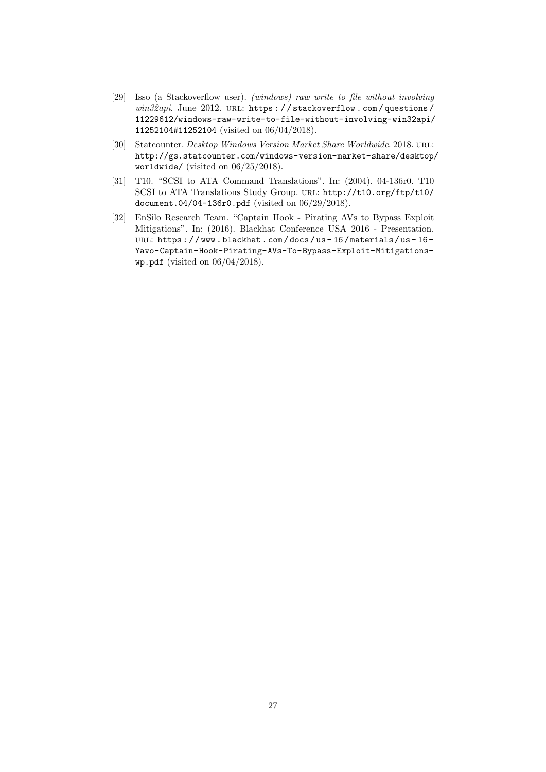- <span id="page-27-0"></span>[29] Isso (a Stackoverflow user). (windows) raw write to file without involving win32api. June 2012. URL: https://stackoverflow.com/questions/ [11229612/windows-raw-write-to-file-without-involving-win32api/](https://stackoverflow.com/questions/11229612/windows-raw-write-to-file-without-involving-win32api/11252104#11252104) [11252104#11252104](https://stackoverflow.com/questions/11229612/windows-raw-write-to-file-without-involving-win32api/11252104#11252104) (visited on 06/04/2018).
- <span id="page-27-2"></span>[30] Statcounter. Desktop Windows Version Market Share Worldwide. 2018. URL: [http://gs.statcounter.com/windows-version-market-share/desktop/](http://gs.statcounter.com/windows-version-market-share/desktop/worldwide/) [worldwide/](http://gs.statcounter.com/windows-version-market-share/desktop/worldwide/) (visited on 06/25/2018).
- <span id="page-27-3"></span>[31] T10. "SCSI to ATA Command Translations". In: (2004). 04-136r0. T10 SCSI to ATA Translations Study Group. url: [http://t10.org/ftp/t10/](http://t10.org/ftp/t10/document.04/04-136r0.pdf) [document.04/04-136r0.pdf](http://t10.org/ftp/t10/document.04/04-136r0.pdf) (visited on 06/29/2018).
- <span id="page-27-1"></span>[32] EnSilo Research Team. "Captain Hook - Pirating AVs to Bypass Exploit Mitigations". In: (2016). Blackhat Conference USA 2016 - Presentation. URL: https://www.blackhat.com/docs/us-16/materials/us-16-[Yavo-Captain-Hook-Pirating-AVs-To-Bypass-Exploit-Mitigations](https://www.blackhat.com/docs/us-16/materials/us-16-Yavo-Captain-Hook-Pirating-AVs-To-Bypass-Exploit-Mitigations-wp.pdf)[wp.pdf](https://www.blackhat.com/docs/us-16/materials/us-16-Yavo-Captain-Hook-Pirating-AVs-To-Bypass-Exploit-Mitigations-wp.pdf) (visited on 06/04/2018).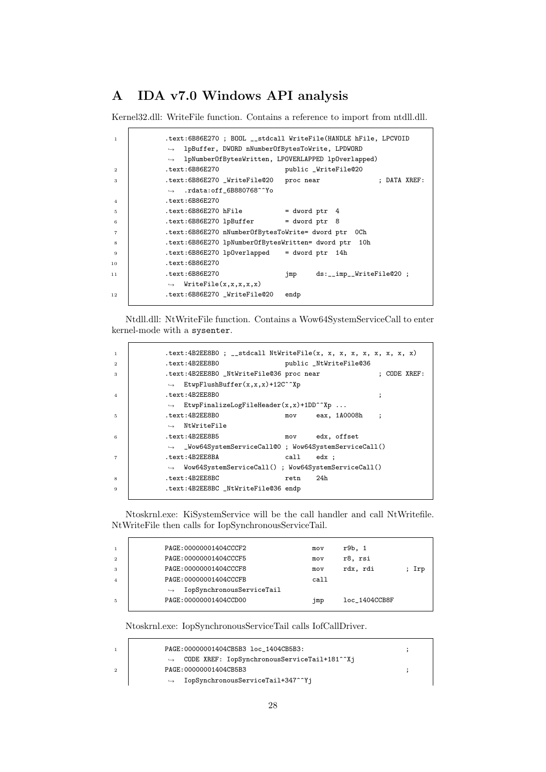# <span id="page-28-0"></span>A IDA v7.0 Windows API analysis

Kernel32.dll: WriteFile function. Contains a reference to import from ntdll.dll.

| $\overline{1}$ | .text:6B86E270 ; BOOL __stdcall WriteFile(HANDLE hFile, LPCVOID  |
|----------------|------------------------------------------------------------------|
|                | $\rightarrow$ lpBuffer, DWORD nNumberOfBytesToWrite, LPDWORD     |
|                | $\rightarrow$ lpNumberOfBytesWritten, LPOVERLAPPED lpOverlapped) |
| $\overline{2}$ | text:6B86E270.<br>public _WriteFile@20                           |
| 3              | .text:6B86E270 _WriteFile@20 proc near<br>; DATA XREF:           |
|                | $\rightarrow$ .rdata:off_6B880768^^Yo                            |
| $\overline{4}$ | text:6B86E270                                                    |
| 5              | text:6B86E270 hFile.<br>= dword ptr 4                            |
| 6              | $.text:6B86E270 1pBuffer = dword ptr 8$                          |
| $\overline{7}$ | .text:6B86E270 nNumberOfBytesToWrite= dword ptr OCh              |
| 8              | .text:6B86E270 lpNumber0fBytesWritten= dword ptr<br>10h          |
| -9             | $text:6B86E270 1p0verlapped = dword ptr 14h$                     |
| 10             | text:6B86E270.                                                   |
| 11             | text:6B86E270<br>ds:__imp__WriteFile@20;<br>jmp                  |
|                | $\rightarrow$ WriteFile(x,x,x,x,x)                               |
| 12             | text:6B86E270 _WriteFile@20.<br>endp                             |
|                |                                                                  |

Ntdll.dll: NtWriteFile function. Contains a Wow64SystemServiceCall to enter kernel-mode with a sysenter.

| $\mathbf{1}$   | .text:4B2EE8B0 ; __stdcall NtWriteFile(x, x, x, x, x, x, x, x, x) |
|----------------|-------------------------------------------------------------------|
| $\overline{2}$ | text:4B2EE8B0<br>public _NtWriteFile@36                           |
| 3              | .text:4B2EE8B0 _NtWriteFile@36 proc near<br>$:$ CODE XREF:        |
|                | $\rightarrow$ EtwpFlushBuffer(x,x,x)+12C^^Xp                      |
| $\overline{4}$ | text:4B2EE8B0<br>$\ddot{\phantom{0}}$                             |
|                | $\rightarrow$ EtwpFinalizeLogFileHeader(x,x)+1DD^^Xp              |
| 5              | .text: 4B2EE8B0<br>eax, 1A0008h<br>mov<br>$\sim$ :                |
|                | $\rightarrow$ NtWriteFile                                         |
| 6              | .text: 4B2EE8B5<br>mov edx, offset                                |
|                | $\rightarrow$ _Wow64SystemServiceCall@0; Wow64SystemServiceCall() |
| $\overline{7}$ | .text: 4B2EE8BA<br>call edx :                                     |
|                | $\rightarrow$ Wow64SystemServiceCall(); Wow64SystemServiceCall()  |
| 8              | .text: 4B2EE8BC<br>24h<br>retn                                    |
| 9              | .text:4B2EE8BC _NtWriteFile@36 endp                               |
|                |                                                                   |

Ntoskrnl.exe: KiSystemService will be the call handler and call NtWritefile. NtWriteFile then calls for IopSynchronousServiceTail.

| $\overline{1}$ | PAGE: 00000001404CCCF2                         | mov  | r9b. 1        |       |
|----------------|------------------------------------------------|------|---------------|-------|
| $\overline{2}$ | PAGE: 00000001404CCCF5                         | mov  | r8, rsi       |       |
| -3             | PAGE: 00000001404CCCF8                         | mov  | rdx. rdi      | ; Irp |
| $\overline{A}$ | PAGE: 00000001404CCCFB                         | call |               |       |
|                | IopSynchronousServiceTail<br>$\hookrightarrow$ |      |               |       |
| $\overline{5}$ | PAGE: 00000001404CCD00                         | jmp  | loc 1404CCB8F |       |
|                |                                                |      |               |       |

Ntoskrnl.exe: IopSynchronousServiceTail calls IofCallDriver.

 $\mathbf{r}$ 

|                | PAGE:00000001404CB5B3 loc 1404CB5B3:                       |  |
|----------------|------------------------------------------------------------|--|
|                | $\rightarrow$ CODE XREF: IopSynchronousServiceTail+181^^Xj |  |
| $\overline{2}$ | PAGE: 00000001404CB5B3                                     |  |
|                | IopSynchronousServiceTail+347^^Yj                          |  |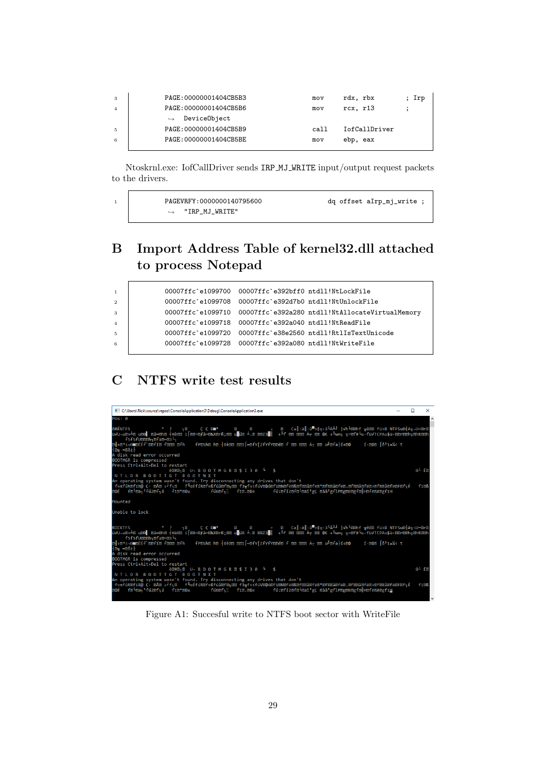| -3             | PAGE: 00000001404CB5B3            | mov  | rdx, rbx      | ; Irp |
|----------------|-----------------------------------|------|---------------|-------|
| $\overline{4}$ | PAGE: 00000001404CB5B6            | mov  | $rcx$ , $r13$ |       |
|                | DeviceObject<br>$\hookrightarrow$ |      |               |       |
| 5              | PAGE: 00000001404CB5B9            | call | IofCallDriver |       |
| 6              | PAGE: 00000001404CB5BE            | mov  | ebp, eax      |       |
|                |                                   |      |               |       |

Ntoskrnl.exe: IofCallDriver sends IRP MJ WRITE input/output request packets to the drivers.

| PAGEVRFY: 0000000140795600 | dq offset aIrp_mj_write ; |
|----------------------------|---------------------------|
| "IRP_MJ_WRITE"             |                           |

# <span id="page-29-0"></span>B Import Address Table of kernel32.dll attached to process Notepad

| $\mathbf{1}$   | 00007ffc`e1099700 00007ffc`e392bff0 ntdll!NtLockFile       |
|----------------|------------------------------------------------------------|
| $\overline{2}$ | 00007ffc`e1099708 00007ffc`e392d7b0 ntdll!NtUnlockFile     |
| 3              |                                                            |
| $\overline{4}$ | 00007ffc`e1099718 00007ffc`e392a040 ntdll!NtReadFile       |
| $5^{\circ}$    | 00007ffc`e1099720 00007ffc`e38e2560 ntdll!RtlIsTextUnicode |
| 6              | 00007ffc'e1099728  00007ffc'e392a080  ntdll!NtWriteFile    |
|                |                                                            |

# <span id="page-29-1"></span>C NTFS write test results

| C:\Users\Rick\source\repos\ConsoleApplication3\Debug\ConsoleApplication3.exe                                                                                                                                                                                                                                                                                                                                         | ×                        |
|----------------------------------------------------------------------------------------------------------------------------------------------------------------------------------------------------------------------------------------------------------------------------------------------------------------------------------------------------------------------------------------------------------------------|--------------------------|
| $Pos: \theta$                                                                                                                                                                                                                                                                                                                                                                                                        |                          |
| fSfSfUDDDh=DfaD=03                                                                                                                                                                                                                                                                                                                                                                                                   |                          |
| 메+@"≤¬0⊞@ÉÉf`@@fí@ f@@@ @fh    fP@Sh@ h@  Bè@@ @@ï[=@fY[ZfYfY@@é@ f @@ @@@ Äт @@ u』@fa í+@0     í @Ф@ [δªï≡¼< t<br>H⊠n ≔⊠δ≥⊩<br>A disk read error occurred                                                                                                                                                                                                                                                           |                          |
| BOOTMGR is compressed                                                                                                                                                                                                                                                                                                                                                                                                |                          |
| Press Ctrl+Alt+Del to restart<br><b>è<sup>n</sup>ene U-BOOTMGRESI30 - \$</b><br>NTLDR BOOTTGT BOOTNXT                                                                                                                                                                                                                                                                                                                | $01$ fm                  |
| An operating system wasn't found. Try disconnecting any drives that don't<br>f≈πfúR@fï@@ç· @Å@ ÷'f=@     f╙aÉfíR@f≈ßfúå@f@ <sub>N</sub> @@ f3 <sub>T</sub> f≈≤fúV@Qó@fï@N@fē@&@f@@å@fë@*@f@@å@fe@@@@@@@@@\$@F@@å@fë@F@f=@<br>@OÉ f@l@ä┑ªfú2@fҕá fï@*@Ow   fú6@fҕ▒ fï@.@Oe   fú:@fí2@f@l@äîªgÇ @àâªgfìP@g@B@gf@╢H@fë@Æ@gfïH                                                                                           | <b>fie&amp;</b>          |
| Mounted                                                                                                                                                                                                                                                                                                                                                                                                              |                          |
| Unable to lock                                                                                                                                                                                                                                                                                                                                                                                                       |                          |
| RICKTFS        ° ? <sub>π</sub> ⊠   C C 0 mm *    ®    0    ÷   ®  Ca∥:ä∥:û™>¢q·3└Ä╨╝│√h└00hf ╦ê010 fü>® NTFSu¤HAη¬U=0h®│<br>ü√U¬u@≈⊥® u®⊙ ®â∞®h®  Hè®® ï[®®=®ƒâ−®‱Z®rß;®® u∎ú® ⊥.® ®®Z3■   +╚f ®® ®®® Ä⊤ ®® OK +╚w∩= ╗=®f#└u-fü√TCPAu\$ü·®®r®®h╗®hR®®h<br>메+@"≤¬0⊞@ÉÉf`@@fí@ f0@@ @fh    fP@Sh@ h@  Bè@@ @@ï[=@fY[ZfYfY@@é@ f @@ @@@ Ä┬ @@ u╝@fa í+@0     í @Ф@  δªï≡¼< t<br>$m = 26$<br>A disk read error occurred |                          |
| BOOTMGR is compressed                                                                                                                                                                                                                                                                                                                                                                                                |                          |
| Press Ctrl+Alt+Del to restart<br><b>EDRETE U-BOOTMGRESI30 4 \$</b><br>NTLDR BOOTTGT BOOTNXT                                                                                                                                                                                                                                                                                                                          | $0^L$ $F$ $\overline{B}$ |
| An operating system wasn't found. Try disconnecting any drives that don't<br>f≈πfúR@fï©@ Ç⋅ @Å@ ÷'f╕@    f└αÉfíR@f≈ßfúå@f© <sub>N</sub> ©@ f3┳f≈≤fúV@Qó@fï@N@f@@&@f@@å@f@@\$@f@@.@f@@å@f@@>@f@@å@f@@F@f╕É<br>f@l@䬪fú2@fรá fï@*@Ow    fú6@fร▒ fï@.@Oe   fú:@fí2@f@l@äîªøC @àâªøfìP@ø@B@øf@ H@fĕ@Æ@øfï∐<br><b>EOF</b>                                                                                                  | <b>firs</b>              |

Figure A1: Succesful write to NTFS boot sector with WriteFile